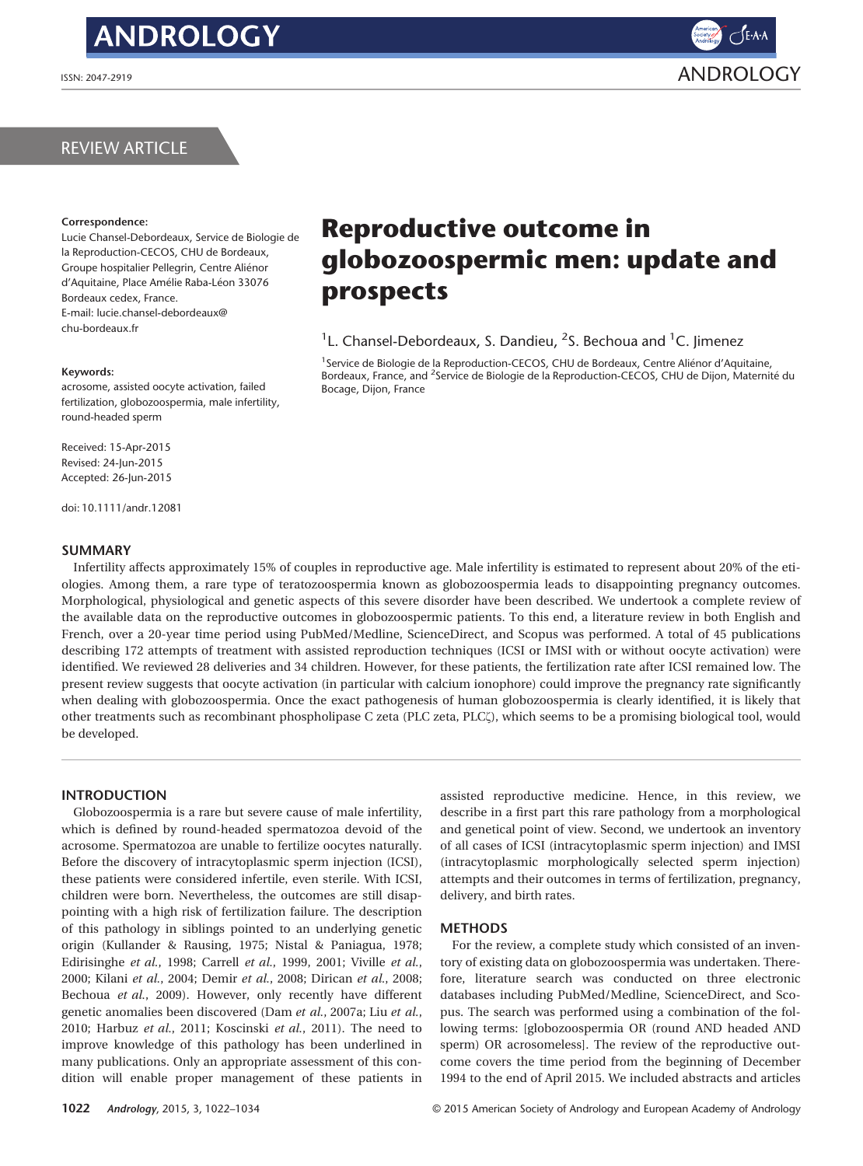# **ANDROLOGY**



## REVIEW ARTICLE

### Correspondence:

Lucie Chansel-Debordeaux, Service de Biologie de la Reproduction-CECOS, CHU de Bordeaux, Groupe hospitalier Pellegrin, Centre Ali enor d'Aquitaine, Place Amélie Raba-Léon 33076 Bordeaux cedex, France. E-mail: lucie.chansel-debordeaux@ chu-bordeaux.fr

### Keywords:

acrosome, assisted oocyte activation, failed fertilization, globozoospermia, male infertility, round-headed sperm

Received: 15-Apr-2015 Revised: 24-Jun-2015 Accepted: 26-Jun-2015

doi: 10.1111/andr.12081

### SUMMARY

Reproductive outcome in globozoospermic men: update and prospects

<sup>1</sup>L. Chansel-Debordeaux, S. Dandieu, <sup>2</sup>S. Bechoua and <sup>1</sup>C. Jimenez

<sup>1</sup>Service de Biologie de la Reproduction-CECOS, CHU de Bordeaux, Centre Aliénor d'Aquitaine, Bordeaux, France, and <sup>2</sup>Service de Biologie de la Reproduction-CECOS, CHU de Dijon, Maternité du Bocage, Dijon, France

Infertility affects approximately 15% of couples in reproductive age. Male infertility is estimated to represent about 20% of the etiologies. Among them, a rare type of teratozoospermia known as globozoospermia leads to disappointing pregnancy outcomes. Morphological, physiological and genetic aspects of this severe disorder have been described. We undertook a complete review of the available data on the reproductive outcomes in globozoospermic patients. To this end, a literature review in both English and French, over a 20-year time period using PubMed/Medline, ScienceDirect, and Scopus was performed. A total of 45 publications describing 172 attempts of treatment with assisted reproduction techniques (ICSI or IMSI with or without oocyte activation) were identified. We reviewed 28 deliveries and 34 children. However, for these patients, the fertilization rate after ICSI remained low. The present review suggests that oocyte activation (in particular with calcium ionophore) could improve the pregnancy rate significantly when dealing with globozoospermia. Once the exact pathogenesis of human globozoospermia is clearly identified, it is likely that other treatments such as recombinant phospholipase C zeta (PLC zeta, PLCf), which seems to be a promising biological tool, would be developed.

### INTRODUCTION

Globozoospermia is a rare but severe cause of male infertility, which is defined by round-headed spermatozoa devoid of the acrosome. Spermatozoa are unable to fertilize oocytes naturally. Before the discovery of intracytoplasmic sperm injection (ICSI), these patients were considered infertile, even sterile. With ICSI, children were born. Nevertheless, the outcomes are still disappointing with a high risk of fertilization failure. The description of this pathology in siblings pointed to an underlying genetic origin (Kullander & Rausing, 1975; Nistal & Paniagua, 1978; Edirisinghe et al., 1998; Carrell et al., 1999, 2001; Viville et al., 2000; Kilani et al., 2004; Demir et al., 2008; Dirican et al., 2008; Bechoua et al., 2009). However, only recently have different genetic anomalies been discovered (Dam et al., 2007a; Liu et al., 2010; Harbuz et al., 2011; Koscinski et al., 2011). The need to improve knowledge of this pathology has been underlined in many publications. Only an appropriate assessment of this condition will enable proper management of these patients in assisted reproductive medicine. Hence, in this review, we describe in a first part this rare pathology from a morphological and genetical point of view. Second, we undertook an inventory of all cases of ICSI (intracytoplasmic sperm injection) and IMSI (intracytoplasmic morphologically selected sperm injection) attempts and their outcomes in terms of fertilization, pregnancy, delivery, and birth rates.

### METHODS

For the review, a complete study which consisted of an inventory of existing data on globozoospermia was undertaken. Therefore, literature search was conducted on three electronic databases including PubMed/Medline, ScienceDirect, and Scopus. The search was performed using a combination of the following terms: [globozoospermia OR (round AND headed AND sperm) OR acrosomeless]. The review of the reproductive outcome covers the time period from the beginning of December 1994 to the end of April 2015. We included abstracts and articles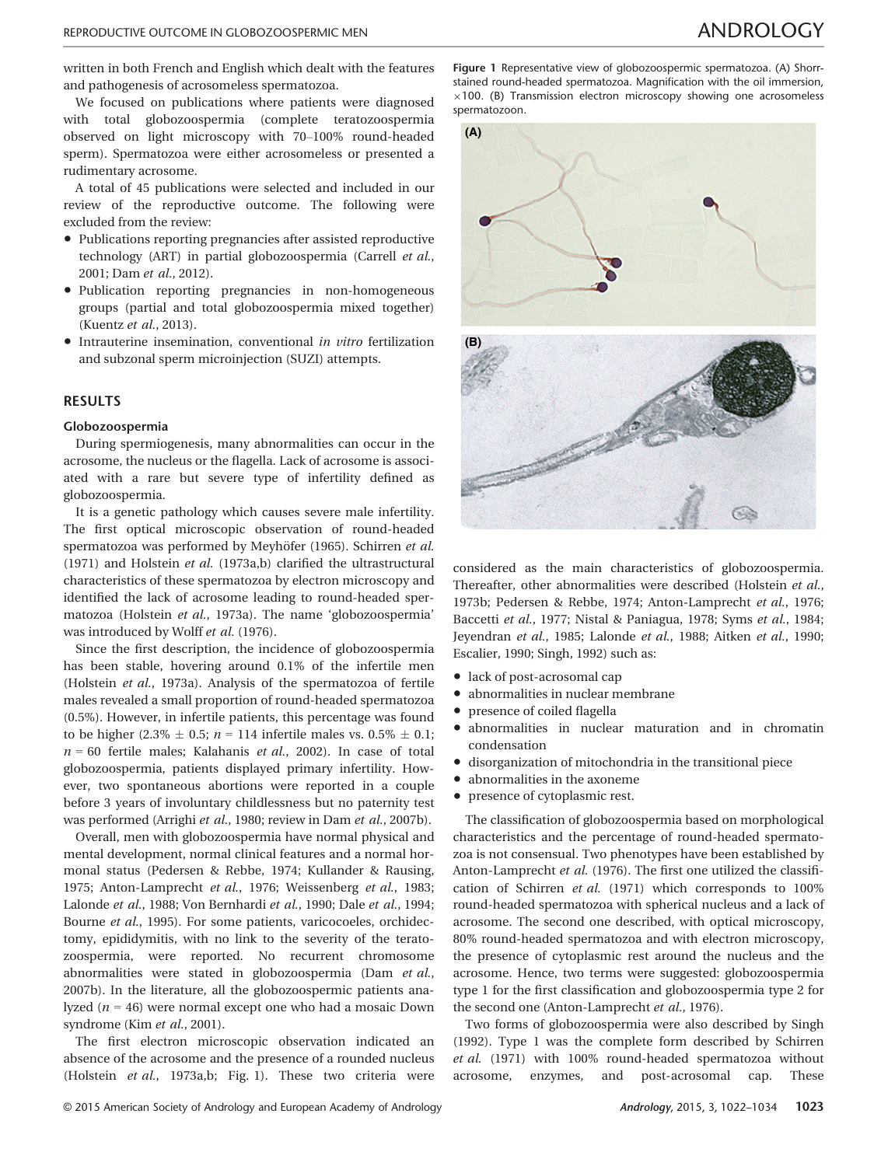written in both French and English which dealt with the features and pathogenesis of acrosomeless spermatozoa.

We focused on publications where patients were diagnosed with total globozoospermia (complete teratozoospermia observed on light microscopy with 70–100% round-headed sperm). Spermatozoa were either acrosomeless or presented a rudimentary acrosome.

A total of 45 publications were selected and included in our review of the reproductive outcome. The following were excluded from the review:

- Publications reporting pregnancies after assisted reproductive technology (ART) in partial globozoospermia (Carrell et al., 2001; Dam et al., 2012).
- Publication reporting pregnancies in non-homogeneous groups (partial and total globozoospermia mixed together) (Kuentz et al., 2013).
- Intrauterine insemination, conventional in vitro fertilization and subzonal sperm microinjection (SUZI) attempts.

### RESULTS

### Globozoospermia

During spermiogenesis, many abnormalities can occur in the acrosome, the nucleus or the flagella. Lack of acrosome is associated with a rare but severe type of infertility defined as globozoospermia.

It is a genetic pathology which causes severe male infertility. The first optical microscopic observation of round-headed spermatozoa was performed by Meyhöfer (1965). Schirren et al. (1971) and Holstein et al. (1973a,b) clarified the ultrastructural characteristics of these spermatozoa by electron microscopy and identified the lack of acrosome leading to round-headed spermatozoa (Holstein et al., 1973a). The name 'globozoospermia' was introduced by Wolff et al. (1976).

Since the first description, the incidence of globozoospermia has been stable, hovering around 0.1% of the infertile men (Holstein et al., 1973a). Analysis of the spermatozoa of fertile males revealed a small proportion of round-headed spermatozoa (0.5%). However, in infertile patients, this percentage was found to be higher (2.3%  $\pm$  0.5; n = 114 infertile males vs. 0.5%  $\pm$  0.1;  $n = 60$  fertile males; Kalahanis et al., 2002). In case of total globozoospermia, patients displayed primary infertility. However, two spontaneous abortions were reported in a couple before 3 years of involuntary childlessness but no paternity test was performed (Arrighi et al., 1980; review in Dam et al., 2007b).

Overall, men with globozoospermia have normal physical and mental development, normal clinical features and a normal hormonal status (Pedersen & Rebbe, 1974; Kullander & Rausing, 1975; Anton-Lamprecht et al., 1976; Weissenberg et al., 1983; Lalonde et al., 1988; Von Bernhardi et al., 1990; Dale et al., 1994; Bourne et al., 1995). For some patients, varicocoeles, orchidectomy, epididymitis, with no link to the severity of the teratozoospermia, were reported. No recurrent chromosome abnormalities were stated in globozoospermia (Dam et al., 2007b). In the literature, all the globozoospermic patients analyzed ( $n = 46$ ) were normal except one who had a mosaic Down syndrome (Kim et al., 2001).

The first electron microscopic observation indicated an absence of the acrosome and the presence of a rounded nucleus (Holstein et al., 1973a,b; Fig. 1). These two criteria were

Figure 1 Representative view of globozoospermic spermatozoa. (A) Shorrstained round-headed spermatozoa. Magnification with the oil immersion,  $\times$ 100. (B) Transmission electron microscopy showing one acrosomeless spermatozoon.



considered as the main characteristics of globozoospermia. Thereafter, other abnormalities were described (Holstein et al., 1973b; Pedersen & Rebbe, 1974; Anton-Lamprecht et al., 1976; Baccetti et al., 1977; Nistal & Paniagua, 1978; Syms et al., 1984; Jeyendran et al., 1985; Lalonde et al., 1988; Aitken et al., 1990; Escalier, 1990; Singh, 1992) such as:

- lack of post-acrosomal cap
- abnormalities in nuclear membrane
- presence of coiled flagella
- abnormalities in nuclear maturation and in chromatin condensation
- disorganization of mitochondria in the transitional piece
- abnormalities in the axoneme
- presence of cytoplasmic rest.

The classification of globozoospermia based on morphological characteristics and the percentage of round-headed spermatozoa is not consensual. Two phenotypes have been established by Anton-Lamprecht et al. (1976). The first one utilized the classification of Schirren et al. (1971) which corresponds to 100% round-headed spermatozoa with spherical nucleus and a lack of acrosome. The second one described, with optical microscopy, 80% round-headed spermatozoa and with electron microscopy, the presence of cytoplasmic rest around the nucleus and the acrosome. Hence, two terms were suggested: globozoospermia type 1 for the first classification and globozoospermia type 2 for the second one (Anton-Lamprecht et al., 1976).

Two forms of globozoospermia were also described by Singh (1992). Type 1 was the complete form described by Schirren et al. (1971) with 100% round-headed spermatozoa without acrosome, enzymes, and post-acrosomal cap. These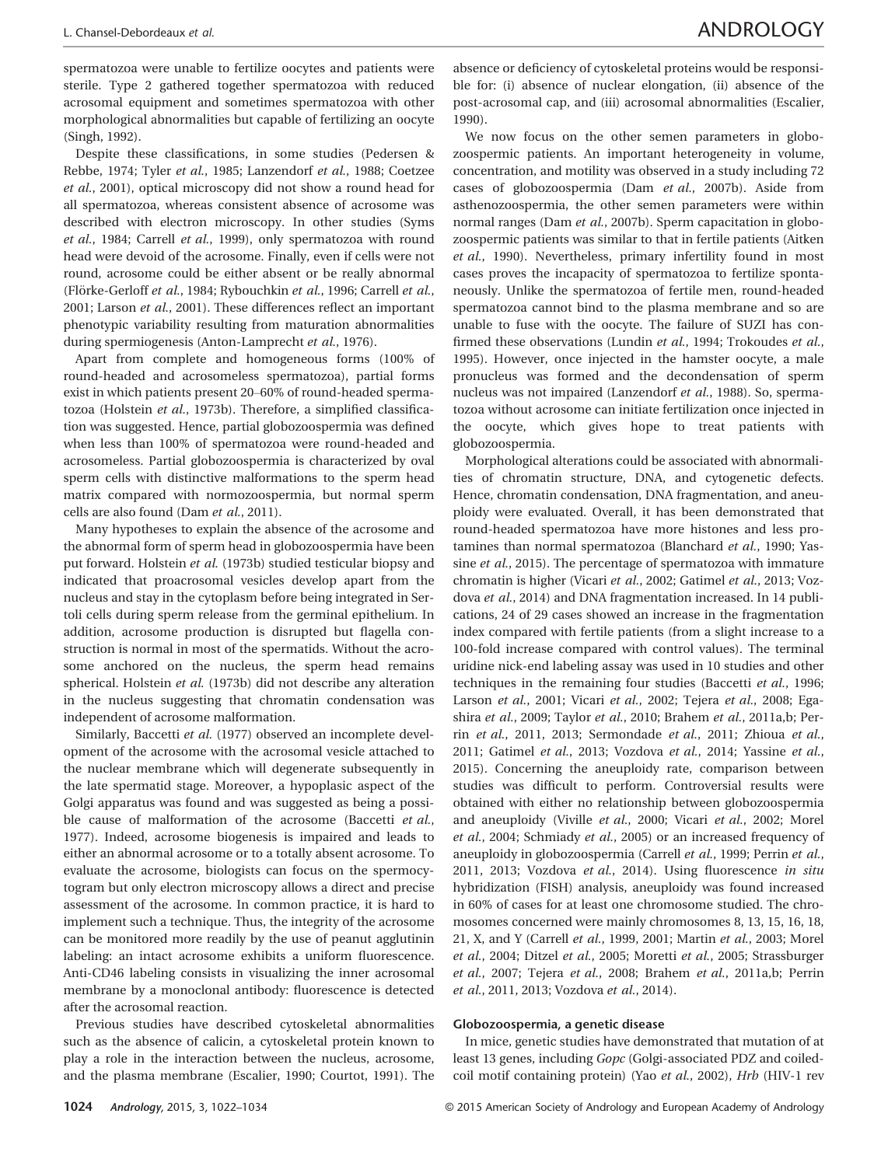spermatozoa were unable to fertilize oocytes and patients were sterile. Type 2 gathered together spermatozoa with reduced acrosomal equipment and sometimes spermatozoa with other morphological abnormalities but capable of fertilizing an oocyte (Singh, 1992).

Despite these classifications, in some studies (Pedersen & Rebbe, 1974; Tyler et al., 1985; Lanzendorf et al., 1988; Coetzee et al., 2001), optical microscopy did not show a round head for all spermatozoa, whereas consistent absence of acrosome was described with electron microscopy. In other studies (Syms et al., 1984; Carrell et al., 1999), only spermatozoa with round head were devoid of the acrosome. Finally, even if cells were not round, acrosome could be either absent or be really abnormal (Flörke-Gerloff et al., 1984; Rybouchkin et al., 1996; Carrell et al., 2001; Larson et al., 2001). These differences reflect an important phenotypic variability resulting from maturation abnormalities during spermiogenesis (Anton-Lamprecht et al., 1976).

Apart from complete and homogeneous forms (100% of round-headed and acrosomeless spermatozoa), partial forms exist in which patients present 20–60% of round-headed spermatozoa (Holstein et al., 1973b). Therefore, a simplified classification was suggested. Hence, partial globozoospermia was defined when less than 100% of spermatozoa were round-headed and acrosomeless. Partial globozoospermia is characterized by oval sperm cells with distinctive malformations to the sperm head matrix compared with normozoospermia, but normal sperm cells are also found (Dam et al., 2011).

Many hypotheses to explain the absence of the acrosome and the abnormal form of sperm head in globozoospermia have been put forward. Holstein et al. (1973b) studied testicular biopsy and indicated that proacrosomal vesicles develop apart from the nucleus and stay in the cytoplasm before being integrated in Sertoli cells during sperm release from the germinal epithelium. In addition, acrosome production is disrupted but flagella construction is normal in most of the spermatids. Without the acrosome anchored on the nucleus, the sperm head remains spherical. Holstein et al. (1973b) did not describe any alteration in the nucleus suggesting that chromatin condensation was independent of acrosome malformation.

Similarly, Baccetti et al. (1977) observed an incomplete development of the acrosome with the acrosomal vesicle attached to the nuclear membrane which will degenerate subsequently in the late spermatid stage. Moreover, a hypoplasic aspect of the Golgi apparatus was found and was suggested as being a possible cause of malformation of the acrosome (Baccetti et al., 1977). Indeed, acrosome biogenesis is impaired and leads to either an abnormal acrosome or to a totally absent acrosome. To evaluate the acrosome, biologists can focus on the spermocytogram but only electron microscopy allows a direct and precise assessment of the acrosome. In common practice, it is hard to implement such a technique. Thus, the integrity of the acrosome can be monitored more readily by the use of peanut agglutinin labeling: an intact acrosome exhibits a uniform fluorescence. Anti-CD46 labeling consists in visualizing the inner acrosomal membrane by a monoclonal antibody: fluorescence is detected after the acrosomal reaction.

Previous studies have described cytoskeletal abnormalities such as the absence of calicin, a cytoskeletal protein known to play a role in the interaction between the nucleus, acrosome, and the plasma membrane (Escalier, 1990; Courtot, 1991). The absence or deficiency of cytoskeletal proteins would be responsible for: (i) absence of nuclear elongation, (ii) absence of the post-acrosomal cap, and (iii) acrosomal abnormalities (Escalier, 1990).

We now focus on the other semen parameters in globozoospermic patients. An important heterogeneity in volume, concentration, and motility was observed in a study including 72 cases of globozoospermia (Dam et al., 2007b). Aside from asthenozoospermia, the other semen parameters were within normal ranges (Dam et al., 2007b). Sperm capacitation in globozoospermic patients was similar to that in fertile patients (Aitken et al., 1990). Nevertheless, primary infertility found in most cases proves the incapacity of spermatozoa to fertilize spontaneously. Unlike the spermatozoa of fertile men, round-headed spermatozoa cannot bind to the plasma membrane and so are unable to fuse with the oocyte. The failure of SUZI has confirmed these observations (Lundin et al., 1994; Trokoudes et al., 1995). However, once injected in the hamster oocyte, a male pronucleus was formed and the decondensation of sperm nucleus was not impaired (Lanzendorf et al., 1988). So, spermatozoa without acrosome can initiate fertilization once injected in the oocyte, which gives hope to treat patients with globozoospermia.

Morphological alterations could be associated with abnormalities of chromatin structure, DNA, and cytogenetic defects. Hence, chromatin condensation, DNA fragmentation, and aneuploidy were evaluated. Overall, it has been demonstrated that round-headed spermatozoa have more histones and less protamines than normal spermatozoa (Blanchard et al., 1990; Yassine et al., 2015). The percentage of spermatozoa with immature chromatin is higher (Vicari et al., 2002; Gatimel et al., 2013; Vozdova et al., 2014) and DNA fragmentation increased. In 14 publications, 24 of 29 cases showed an increase in the fragmentation index compared with fertile patients (from a slight increase to a 100-fold increase compared with control values). The terminal uridine nick-end labeling assay was used in 10 studies and other techniques in the remaining four studies (Baccetti et al., 1996; Larson et al., 2001; Vicari et al., 2002; Tejera et al., 2008; Egashira et al., 2009; Taylor et al., 2010; Brahem et al., 2011a,b; Perrin et al., 2011, 2013; Sermondade et al., 2011; Zhioua et al., 2011; Gatimel et al., 2013; Vozdova et al., 2014; Yassine et al., 2015). Concerning the aneuploidy rate, comparison between studies was difficult to perform. Controversial results were obtained with either no relationship between globozoospermia and aneuploidy (Viville et al., 2000; Vicari et al., 2002; Morel et al., 2004; Schmiady et al., 2005) or an increased frequency of aneuploidy in globozoospermia (Carrell et al., 1999; Perrin et al., 2011, 2013; Vozdova et al., 2014). Using fluorescence in situ hybridization (FISH) analysis, aneuploidy was found increased in 60% of cases for at least one chromosome studied. The chromosomes concerned were mainly chromosomes 8, 13, 15, 16, 18, 21, X, and Y (Carrell et al., 1999, 2001; Martin et al., 2003; Morel et al., 2004; Ditzel et al., 2005; Moretti et al., 2005; Strassburger et al., 2007; Tejera et al., 2008; Brahem et al., 2011a,b; Perrin et al., 2011, 2013; Vozdova et al., 2014).

### Globozoospermia, a genetic disease

In mice, genetic studies have demonstrated that mutation of at least 13 genes, including Gopc (Golgi-associated PDZ and coiledcoil motif containing protein) (Yao et al., 2002), Hrb (HIV-1 rev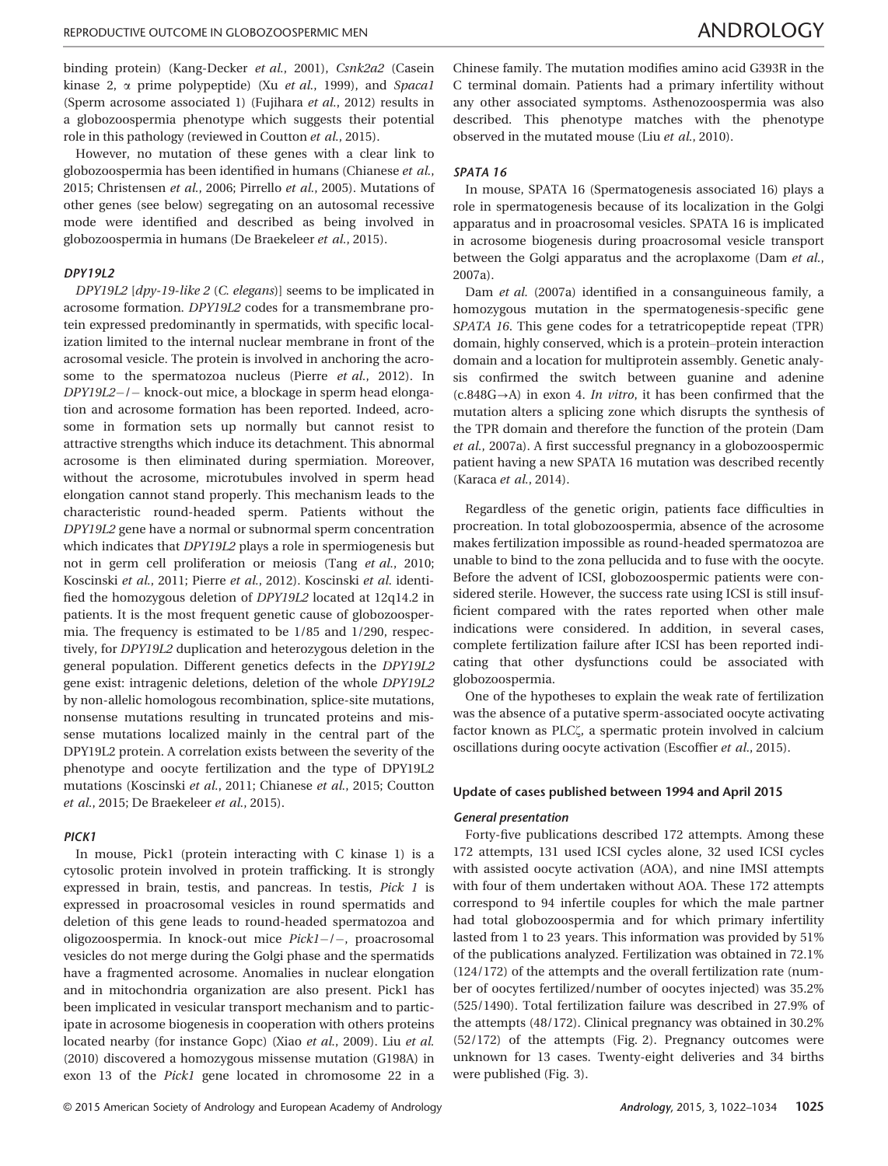binding protein) (Kang-Decker et al., 2001), Csnk2a2 (Casein kinase 2,  $\alpha$  prime polypeptide) (Xu *et al.*, 1999), and Spaca1 (Sperm acrosome associated 1) (Fujihara et al., 2012) results in a globozoospermia phenotype which suggests their potential role in this pathology (reviewed in Coutton et al., 2015).

However, no mutation of these genes with a clear link to globozoospermia has been identified in humans (Chianese et al., 2015; Christensen et al., 2006; Pirrello et al., 2005). Mutations of other genes (see below) segregating on an autosomal recessive mode were identified and described as being involved in globozoospermia in humans (De Braekeleer et al., 2015).

### DPY19L2

DPY19L2 [dpy-19-like 2 (C. elegans)] seems to be implicated in acrosome formation. DPY19L2 codes for a transmembrane protein expressed predominantly in spermatids, with specific localization limited to the internal nuclear membrane in front of the acrosomal vesicle. The protein is involved in anchoring the acrosome to the spermatozoa nucleus (Pierre et al., 2012). In DPY19L2-/- knock-out mice, a blockage in sperm head elongation and acrosome formation has been reported. Indeed, acrosome in formation sets up normally but cannot resist to attractive strengths which induce its detachment. This abnormal acrosome is then eliminated during spermiation. Moreover, without the acrosome, microtubules involved in sperm head elongation cannot stand properly. This mechanism leads to the characteristic round-headed sperm. Patients without the DPY19L2 gene have a normal or subnormal sperm concentration which indicates that DPY19L2 plays a role in spermiogenesis but not in germ cell proliferation or meiosis (Tang et al., 2010; Koscinski et al., 2011; Pierre et al., 2012). Koscinski et al. identified the homozygous deletion of DPY19L2 located at 12q14.2 in patients. It is the most frequent genetic cause of globozoospermia. The frequency is estimated to be 1/85 and 1/290, respectively, for DPY19L2 duplication and heterozygous deletion in the general population. Different genetics defects in the DPY19L2 gene exist: intragenic deletions, deletion of the whole DPY19L2 by non-allelic homologous recombination, splice-site mutations, nonsense mutations resulting in truncated proteins and missense mutations localized mainly in the central part of the DPY19L2 protein. A correlation exists between the severity of the phenotype and oocyte fertilization and the type of DPY19L2 mutations (Koscinski et al., 2011; Chianese et al., 2015; Coutton et al., 2015; De Braekeleer et al., 2015).

### PICK1

In mouse, Pick1 (protein interacting with C kinase 1) is a cytosolic protein involved in protein trafficking. It is strongly expressed in brain, testis, and pancreas. In testis, Pick 1 is expressed in proacrosomal vesicles in round spermatids and deletion of this gene leads to round-headed spermatozoa and oligozoospermia. In knock-out mice Pick1-/-, proacrosomal vesicles do not merge during the Golgi phase and the spermatids have a fragmented acrosome. Anomalies in nuclear elongation and in mitochondria organization are also present. Pick1 has been implicated in vesicular transport mechanism and to participate in acrosome biogenesis in cooperation with others proteins located nearby (for instance Gopc) (Xiao et al., 2009). Liu et al. (2010) discovered a homozygous missense mutation (G198A) in exon 13 of the Pick1 gene located in chromosome 22 in a

Chinese family. The mutation modifies amino acid G393R in the C terminal domain. Patients had a primary infertility without any other associated symptoms. Asthenozoospermia was also described. This phenotype matches with the phenotype observed in the mutated mouse (Liu et al., 2010).

### SPATA 16

In mouse, SPATA 16 (Spermatogenesis associated 16) plays a role in spermatogenesis because of its localization in the Golgi apparatus and in proacrosomal vesicles. SPATA 16 is implicated in acrosome biogenesis during proacrosomal vesicle transport between the Golgi apparatus and the acroplaxome (Dam et al., 2007a).

Dam et al. (2007a) identified in a consanguineous family, a homozygous mutation in the spermatogenesis-specific gene SPATA 16. This gene codes for a tetratricopeptide repeat (TPR) domain, highly conserved, which is a protein–protein interaction domain and a location for multiprotein assembly. Genetic analysis confirmed the switch between guanine and adenine  $(c.848G \rightarrow A)$  in exon 4. In vitro, it has been confirmed that the mutation alters a splicing zone which disrupts the synthesis of the TPR domain and therefore the function of the protein (Dam et al., 2007a). A first successful pregnancy in a globozoospermic patient having a new SPATA 16 mutation was described recently (Karaca et al., 2014).

Regardless of the genetic origin, patients face difficulties in procreation. In total globozoospermia, absence of the acrosome makes fertilization impossible as round-headed spermatozoa are unable to bind to the zona pellucida and to fuse with the oocyte. Before the advent of ICSI, globozoospermic patients were considered sterile. However, the success rate using ICSI is still insufficient compared with the rates reported when other male indications were considered. In addition, in several cases, complete fertilization failure after ICSI has been reported indicating that other dysfunctions could be associated with globozoospermia.

One of the hypotheses to explain the weak rate of fertilization was the absence of a putative sperm-associated oocyte activating factor known as PLC $\zeta$ , a spermatic protein involved in calcium oscillations during oocyte activation (Escoffier et al., 2015).

### Update of cases published between 1994 and April 2015

### General presentation

Forty-five publications described 172 attempts. Among these 172 attempts, 131 used ICSI cycles alone, 32 used ICSI cycles with assisted oocyte activation (AOA), and nine IMSI attempts with four of them undertaken without AOA. These 172 attempts correspond to 94 infertile couples for which the male partner had total globozoospermia and for which primary infertility lasted from 1 to 23 years. This information was provided by 51% of the publications analyzed. Fertilization was obtained in 72.1% (124/172) of the attempts and the overall fertilization rate (number of oocytes fertilized/number of oocytes injected) was 35.2% (525/1490). Total fertilization failure was described in 27.9% of the attempts (48/172). Clinical pregnancy was obtained in 30.2% (52/172) of the attempts (Fig. 2). Pregnancy outcomes were unknown for 13 cases. Twenty-eight deliveries and 34 births were published (Fig. 3).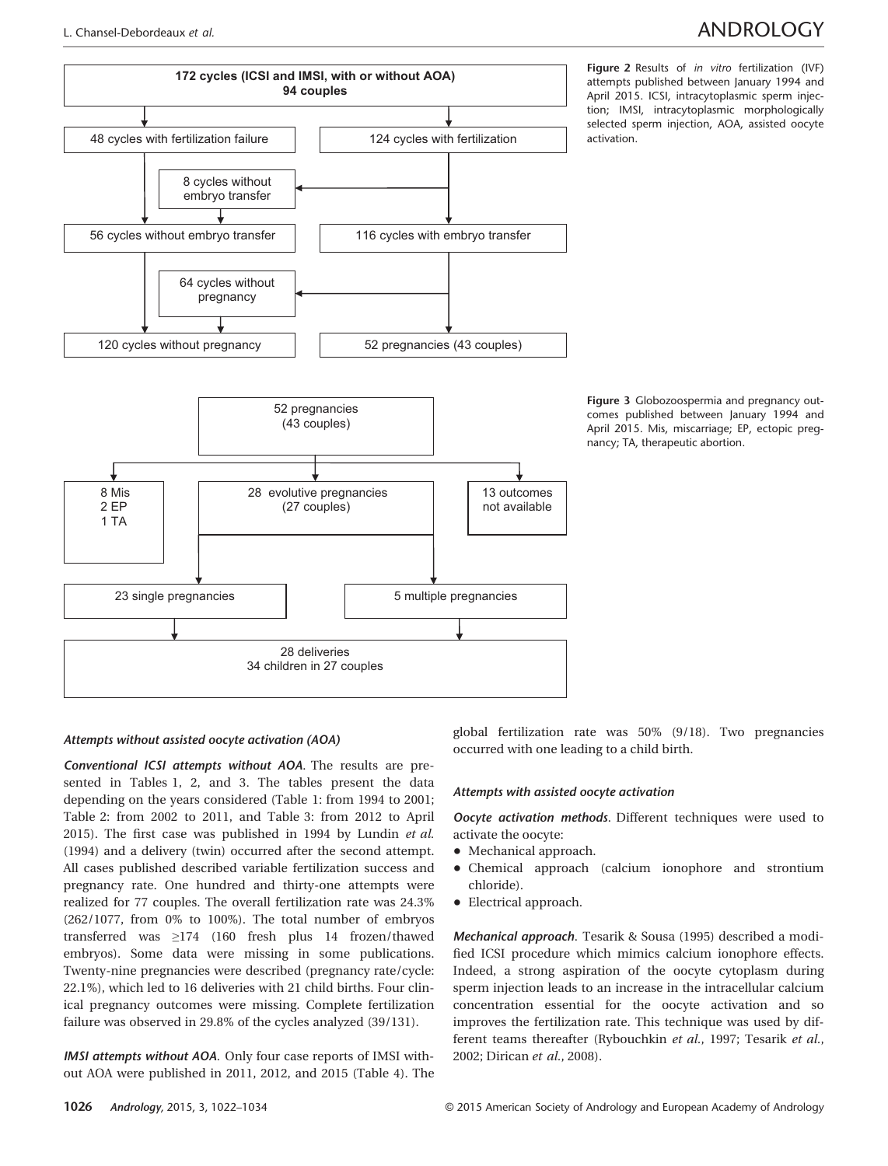## L. Chansel-Debordeaux et al. ANDROLOGY



Figure 3 Globozoospermia and pregnancy outcomes published between January 1994 and April 2015. Mis, miscarriage; EP, ectopic pregnancy; TA, therapeutic abortion.

### Attempts without assisted oocyte activation (AOA)

Conventional ICSI attempts without AOA. The results are presented in Tables 1, 2, and 3. The tables present the data depending on the years considered (Table 1: from 1994 to 2001; Table 2: from 2002 to 2011, and Table 3: from 2012 to April 2015). The first case was published in 1994 by Lundin et al. (1994) and a delivery (twin) occurred after the second attempt. All cases published described variable fertilization success and pregnancy rate. One hundred and thirty-one attempts were realized for 77 couples. The overall fertilization rate was 24.3% (262/1077, from 0% to 100%). The total number of embryos transferred was ≥174 (160 fresh plus 14 frozen/thawed embryos). Some data were missing in some publications. Twenty-nine pregnancies were described (pregnancy rate/cycle: 22.1%), which led to 16 deliveries with 21 child births. Four clinical pregnancy outcomes were missing. Complete fertilization failure was observed in 29.8% of the cycles analyzed (39/131).

IMSI attempts without AOA. Only four case reports of IMSI without AOA were published in 2011, 2012, and 2015 (Table 4). The global fertilization rate was 50% (9/18). Two pregnancies occurred with one leading to a child birth.

### Attempts with assisted oocyte activation

Oocyte activation methods. Different techniques were used to activate the oocyte:

- Mechanical approach.
- Chemical approach (calcium ionophore and strontium chloride).
- Electrical approach.

Mechanical approach. Tesarik & Sousa (1995) described a modified ICSI procedure which mimics calcium ionophore effects. Indeed, a strong aspiration of the oocyte cytoplasm during sperm injection leads to an increase in the intracellular calcium concentration essential for the oocyte activation and so improves the fertilization rate. This technique was used by different teams thereafter (Rybouchkin et al., 1997; Tesarik et al., 2002; Dirican et al., 2008).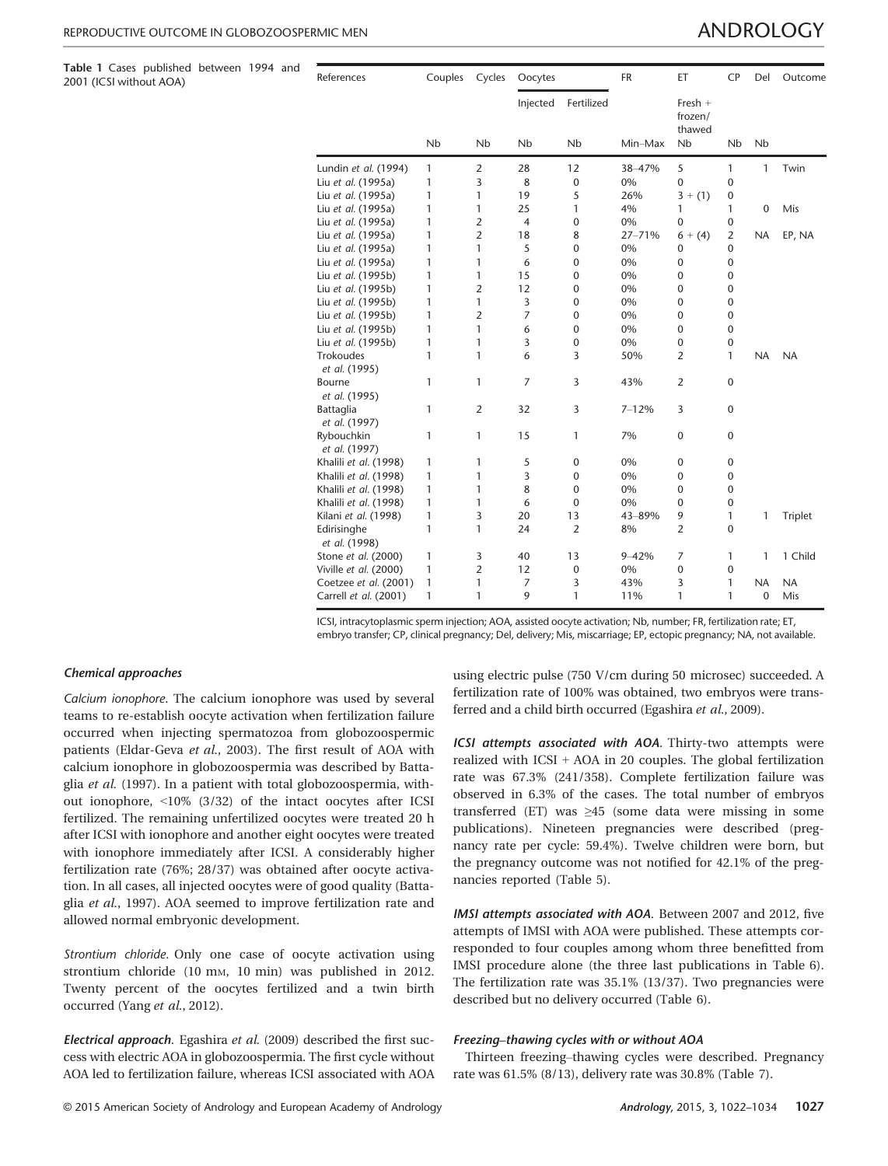Table 1 Cases published between 1994 and

2001 (ICSI without AOA)

| References                   | Couples | Cycles         | Oocytes        |                      | <b>FR</b> | ET                             | <b>CP</b>      | Del                  | Outcome   |
|------------------------------|---------|----------------|----------------|----------------------|-----------|--------------------------------|----------------|----------------------|-----------|
|                              |         |                | Injected       | Fertilized           |           | Fresh $+$<br>frozen/<br>thawed |                |                      |           |
|                              | Nb      | <b>Nb</b>      | Nb             | <b>N<sub>b</sub></b> | Min-Max   | Nb                             | Nb             | <b>N<sub>b</sub></b> |           |
| Lundin et al. (1994)         | 1       | $\overline{2}$ | 28             | 12                   | 38-47%    | 5                              | 1              | 1                    | Twin      |
| Liu et al. (1995a)           | 1       | 3              | 8              | $\mathbf 0$          | 0%        | 0                              | 0              |                      |           |
| Liu et al. (1995a)           | 1       | 1              | 19             | 5                    | 26%       | $3 + (1)$                      | 0              |                      |           |
| Liu et al. (1995a)           | 1       | 1              | 25             | 1                    | 4%        | 1                              | 1              | $\mathbf 0$          | Mis       |
| Liu et al. (1995a)           | 1       | $\overline{2}$ | $\overline{4}$ | $\mathbf 0$          | 0%        | 0                              | $\mathbf 0$    |                      |           |
| Liu et al. (1995a)           | 1       | $\overline{2}$ | 18             | 8                    | 27-71%    | $6 + (4)$                      | $\overline{2}$ | <b>NA</b>            | EP, NA    |
| Liu et al. (1995a)           | 1       | 1              | 5              | 0                    | 0%        | 0                              | 0              |                      |           |
| Liu et al. (1995a)           | 1       | 1              | 6              | 0                    | 0%        | 0                              | 0              |                      |           |
| Liu et al. (1995b)           | 1       | 1              | 15             | $\mathbf 0$          | 0%        | 0                              | $\mathbf 0$    |                      |           |
| Liu et al. (1995b)           | 1       | $\overline{2}$ | 12             | $\mathbf 0$          | 0%        | 0                              | $\mathbf 0$    |                      |           |
| Liu et al. (1995b)           | 1       | 1              | 3              | $\mathbf 0$          | 0%        | 0                              | $\mathbf 0$    |                      |           |
| Liu et al. (1995b)           | 1       | $\overline{2}$ | 7              | 0                    | 0%        | 0                              | $\mathbf 0$    |                      |           |
| Liu et al. (1995b)           | 1       | 1              | 6              | $\mathbf 0$          | 0%        | $\mathbf{0}$                   | $\mathbf 0$    |                      |           |
| Liu et al. (1995b)           | 1       | 1              | 3              | $\boldsymbol{0}$     | 0%        | $\mathbf{0}$                   | $\pmb{0}$      |                      |           |
| <b>Trokoudes</b>             | 1       | 1              | 6              | 3                    | 50%       | $\overline{2}$                 | 1              | <b>NA</b>            | <b>NA</b> |
| et al. (1995)                |         |                |                |                      |           |                                |                |                      |           |
| Bourne<br>et al. (1995)      | 1       | 1              | $\overline{7}$ | 3                    | 43%       | $\overline{2}$                 | 0              |                      |           |
| Battaglia<br>et al. (1997)   | 1       | $\overline{2}$ | 32             | 3                    | $7 - 12%$ | 3                              | 0              |                      |           |
| Rybouchkin<br>et al. (1997)  | 1       | 1              | 15             | 1                    | 7%        | $\mathbf{0}$                   | $\mathbf 0$    |                      |           |
| Khalili et al. (1998)        | 1       | 1              | 5              | $\mathbf 0$          | 0%        | 0                              | 0              |                      |           |
| Khalili et al. (1998)        | 1       | 1              | 3              | $\mathbf 0$          | 0%        | 0                              | $\mathbf 0$    |                      |           |
| Khalili et al. (1998)        | 1       | 1              | 8              | $\mathbf 0$          | 0%        | 0                              | $\pmb{0}$      |                      |           |
| Khalili et al. (1998)        | 1       | 1              | 6              | $\mathbf 0$          | 0%        | 0                              | $\mathbf 0$    |                      |           |
| Kilani et al. (1998)         | 1       | 3              | 20             | 13                   | 43-89%    | 9                              | 1              | 1                    | Triplet   |
| Edirisinghe<br>et al. (1998) | 1       | 1              | 24             | $\overline{2}$       | 8%        | $\overline{2}$                 | 0              |                      |           |
| Stone et al. (2000)          | 1       | 3              | 40             | 13                   | $9 - 42%$ | 7                              | 1              | 1                    | 1 Child   |
| Viville et al. (2000)        | 1       | $\overline{2}$ | 12             | $\boldsymbol{0}$     | 0%        | $\mathbf{0}$                   | $\mathbf 0$    |                      |           |
| Coetzee et al. (2001)        | 1       | 1              | 7              | 3                    | 43%       | 3                              | 1              | <b>NA</b>            | <b>NA</b> |
| Carrell et al. (2001)        | 1       | 1              | 9              | 1                    | 11%       | 1                              | 1              | $\mathbf{0}$         | Mis       |

ICSI, intracytoplasmic sperm injection; AOA, assisted oocyte activation; Nb, number; FR, fertilization rate; ET, embryo transfer; CP, clinical pregnancy; Del, delivery; Mis, miscarriage; EP, ectopic pregnancy; NA, not available.

### Chemical approaches

Calcium ionophore. The calcium ionophore was used by several teams to re-establish oocyte activation when fertilization failure occurred when injecting spermatozoa from globozoospermic patients (Eldar-Geva et al., 2003). The first result of AOA with calcium ionophore in globozoospermia was described by Battaglia et al. (1997). In a patient with total globozoospermia, without ionophore, <10% (3/32) of the intact oocytes after ICSI fertilized. The remaining unfertilized oocytes were treated 20 h after ICSI with ionophore and another eight oocytes were treated with ionophore immediately after ICSI. A considerably higher fertilization rate (76%; 28/37) was obtained after oocyte activation. In all cases, all injected oocytes were of good quality (Battaglia et al., 1997). AOA seemed to improve fertilization rate and allowed normal embryonic development.

Strontium chloride. Only one case of oocyte activation using strontium chloride (10 mm, 10 min) was published in 2012. Twenty percent of the oocytes fertilized and a twin birth occurred (Yang et al., 2012).

**Electrical approach.** Egashira et al. (2009) described the first success with electric AOA in globozoospermia. The first cycle without AOA led to fertilization failure, whereas ICSI associated with AOA

using electric pulse (750 V/cm during 50 microsec) succeeded. A fertilization rate of 100% was obtained, two embryos were transferred and a child birth occurred (Egashira et al., 2009).

ICSI attempts associated with AOA. Thirty-two attempts were realized with ICSI + AOA in 20 couples. The global fertilization rate was 67.3% (241/358). Complete fertilization failure was observed in 6.3% of the cases. The total number of embryos transferred (ET) was  $\geq 45$  (some data were missing in some publications). Nineteen pregnancies were described (pregnancy rate per cycle: 59.4%). Twelve children were born, but the pregnancy outcome was not notified for 42.1% of the pregnancies reported (Table 5).

IMSI attempts associated with AOA. Between 2007 and 2012, five attempts of IMSI with AOA were published. These attempts corresponded to four couples among whom three benefitted from IMSI procedure alone (the three last publications in Table 6). The fertilization rate was 35.1% (13/37). Two pregnancies were described but no delivery occurred (Table 6).

### Freezing–thawing cycles with or without AOA

Thirteen freezing–thawing cycles were described. Pregnancy rate was 61.5% (8/13), delivery rate was 30.8% (Table 7).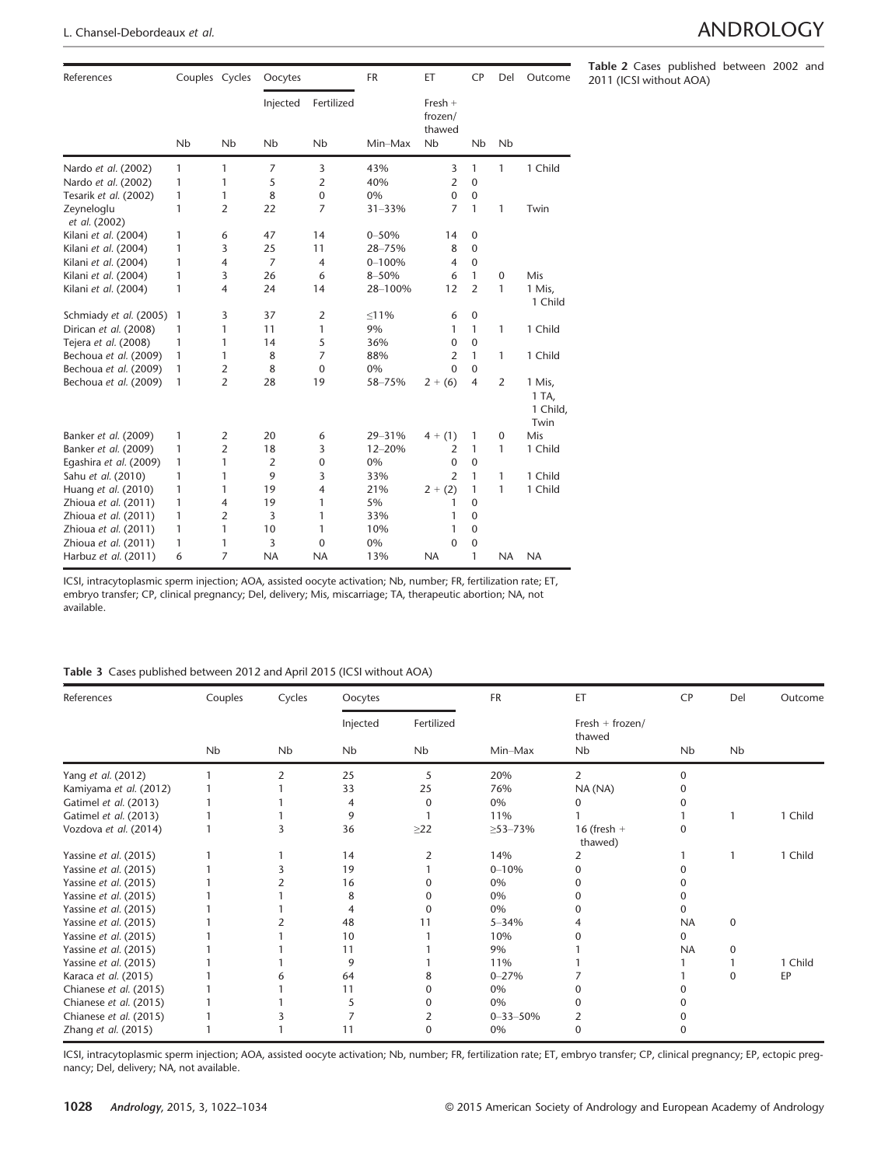| References                  | Couples Cycles       |                      | Oocytes                          |                                    | <b>FR</b>   | ET                                   | <b>CP</b>        | Del                  | Outcome                             |
|-----------------------------|----------------------|----------------------|----------------------------------|------------------------------------|-------------|--------------------------------------|------------------|----------------------|-------------------------------------|
|                             | <b>N<sub>b</sub></b> | <b>N<sub>b</sub></b> | Injected<br><b>N<sub>b</sub></b> | Fertilized<br><b>N<sub>b</sub></b> | Min-Max     | Fresh $+$<br>frozen/<br>thawed<br>Nb | Nb               | <b>N<sub>b</sub></b> |                                     |
|                             |                      |                      |                                  |                                    |             |                                      |                  |                      |                                     |
| Nardo et al. (2002)         | 1                    | 1                    | $\overline{7}$                   | 3                                  | 43%         | 3                                    | 1                | $\mathbf{1}$         | 1 Child                             |
| Nardo et al. (2002)         | 1                    | 1                    | 5                                | $\overline{2}$                     | 40%         | $\overline{2}$                       | $\mathbf{0}$     |                      |                                     |
| Tesarik et al. (2002)       | 1                    | 1                    | 8                                | $\mathbf 0$                        | 0%          | $\Omega$                             | $\mathbf 0$      |                      |                                     |
| Zeyneloglu<br>et al. (2002) | 1                    | $\overline{2}$       | 22                               | 7                                  | $31 - 33%$  | $\overline{7}$                       | $\mathbf{1}$     | 1                    | Twin                                |
| Kilani et al. (2004)        | 1                    | 6                    | 47                               | 14                                 | $0 - 50%$   | 14                                   | $\mathbf 0$      |                      |                                     |
| Kilani et al. (2004)        | 1                    | 3                    | 25                               | 11                                 | 28-75%      | 8                                    | $\mathbf 0$      |                      |                                     |
| Kilani et al. (2004)        | 1                    | $\overline{4}$       | $\overline{7}$                   | $\overline{4}$                     | $0 - 100%$  | $\overline{4}$                       | $\mathbf 0$      |                      |                                     |
| Kilani et al. (2004)        | 1                    | 3                    | 26                               | 6                                  | 8-50%       | 6                                    | 1                | $\mathbf 0$          | Mis                                 |
| Kilani et al. (2004)        | 1                    | $\overline{4}$       | 24                               | 14                                 | 28-100%     | 12                                   | $\overline{2}$   | $\mathbf{1}$         | 1 Mis,<br>1 Child                   |
| Schmiady et al. (2005)      | 1                    | 3                    | 37                               | $\overline{2}$                     | $\leq 11\%$ | 6                                    | $\boldsymbol{0}$ |                      |                                     |
| Dirican et al. (2008)       | 1                    | 1                    | 11                               | 1                                  | 9%          | 1                                    | 1                | 1                    | 1 Child                             |
| Tejera et al. (2008)        | 1                    | 1                    | 14                               | 5                                  | 36%         | $\Omega$                             | $\mathbf 0$      |                      |                                     |
| Bechoua et al. (2009)       | 1                    | 1                    | 8                                | 7                                  | 88%         | $\overline{2}$                       | 1                | $\mathbf{1}$         | 1 Child                             |
| Bechoua et al. (2009)       | 1                    | $\overline{2}$       | 8                                | $\Omega$                           | 0%          | $\Omega$                             | $\Omega$         |                      |                                     |
| Bechoua et al. (2009)       | 1                    | $\overline{2}$       | 28                               | 19                                 | 58-75%      | $2 + (6)$                            | $\overline{4}$   | 2                    | 1 Mis,<br>1 TA,<br>1 Child,<br>Twin |
| Banker et al. (2009)        | 1                    | 2                    | 20                               | 6                                  | 29-31%      | $4 + (1)$                            | 1                | $\mathbf{0}$         | Mis                                 |
| Banker et al. (2009)        | 1                    | $\overline{2}$       | 18                               | 3                                  | 12-20%      | 2                                    | 1                | 1                    | 1 Child                             |
| Egashira et al. (2009)      | 1                    | 1                    | $\overline{2}$                   | $\mathbf{0}$                       | 0%          | $\Omega$                             | $\mathbf{0}$     |                      |                                     |
| Sahu et al. (2010)          | 1                    | 1                    | 9                                | 3                                  | 33%         | $\overline{2}$                       | 1                | 1                    | 1 Child                             |
| Huang et al. (2010)         | 1                    | 1                    | 19                               | $\overline{4}$                     | 21%         | $2 + (2)$                            | 1                | 1                    | 1 Child                             |
| Zhioua et al. (2011)        | 1                    | $\overline{4}$       | 19                               | 1                                  | 5%          | 1                                    | $\Omega$         |                      |                                     |
| Zhioua et al. (2011)        | $\mathbf{1}$         | $\overline{2}$       | 3                                | 1                                  | 33%         | 1                                    | $\mathbf 0$      |                      |                                     |
| Zhioua et al. (2011)        | 1                    | 1                    | 10                               | 1                                  | 10%         | 1                                    | $\mathbf 0$      |                      |                                     |
| Zhioua et al. (2011)        | 1                    | 1                    | 3                                | $\mathbf{0}$                       | 0%          | $\mathbf{0}$                         | $\mathbf 0$      |                      |                                     |
| Harbuz et al. (2011)        | 6                    | $\overline{7}$       | <b>NA</b>                        | <b>NA</b>                          | 13%         | <b>NA</b>                            | 1                | <b>NA</b>            | <b>NA</b>                           |

ICSI, intracytoplasmic sperm injection; AOA, assisted oocyte activation; Nb, number; FR, fertilization rate; ET, embryo transfer; CP, clinical pregnancy; Del, delivery; Mis, miscarriage; TA, therapeutic abortion; NA, not available.

### Table 3 Cases published between 2012 and April 2015 (ICSI without AOA)

| References             | Couples | Cycles | Oocytes        |              | FR             | ET                          | <b>CP</b> | Del       | Outcome |
|------------------------|---------|--------|----------------|--------------|----------------|-----------------------------|-----------|-----------|---------|
|                        |         |        | Injected       | Fertilized   |                | $Fresh + frozen/$<br>thawed |           |           |         |
|                        | Nb      | Nb     | Nb             | <b>Nb</b>    | Min-Max        | Nb                          | Nb        | <b>Nb</b> |         |
| Yang et al. (2012)     |         | 2      | 25             | 5            | 20%            | $\overline{2}$              | $\Omega$  |           |         |
| Kamiyama et al. (2012) |         |        | 33             | 25           | 76%            | NA (NA)                     |           |           |         |
| Gatimel et al. (2013)  |         |        | $\overline{4}$ | $\Omega$     | 0%             |                             |           |           |         |
| Gatimel et al. (2013)  |         |        | 9              |              | 11%            |                             |           |           | 1 Child |
| Vozdova et al. (2014)  |         |        | 36             | $\geq$ 22    | $\geq$ 53-73%  | $16$ (fresh $+$<br>thawed)  |           |           |         |
| Yassine et al. (2015)  |         |        | 14             | 2            | 14%            | 2                           |           |           | 1 Child |
| Yassine et al. (2015)  |         |        | 19             |              | $0 - 10%$      |                             |           |           |         |
| Yassine et al. (2015)  |         |        | 16             |              | 0%             |                             |           |           |         |
| Yassine et al. (2015)  |         |        | 8              |              | 0%             |                             |           |           |         |
| Yassine et al. (2015)  |         |        | 4              | 0            | 0%             |                             |           |           |         |
| Yassine et al. (2015)  |         |        | 48             | 11           | $5 - 34%$      |                             | <b>NA</b> | $\Omega$  |         |
| Yassine et al. (2015)  |         |        | 10             |              | 10%            |                             | 0         |           |         |
| Yassine et al. (2015)  |         |        | 11             |              | 9%             |                             | <b>NA</b> | 0         |         |
| Yassine et al. (2015)  |         |        | 9              |              | 11%            |                             |           |           | 1 Child |
| Karaca et al. (2015)   |         |        | 64             |              | $0 - 27%$      |                             |           | $\Omega$  | EP      |
| Chianese et al. (2015) |         |        | 11             | 0            | 0%             |                             |           |           |         |
| Chianese et al. (2015) |         |        | 5              | <sup>0</sup> | 0%             |                             |           |           |         |
| Chianese et al. (2015) |         |        |                |              | $0 - 33 - 50%$ | 2                           |           |           |         |
| Zhang et al. (2015)    |         |        | 11             | $\Omega$     | 0%             | 0                           |           |           |         |

ICSI, intracytoplasmic sperm injection; AOA, assisted oocyte activation; Nb, number; FR, fertilization rate; ET, embryo transfer; CP, clinical pregnancy; EP, ectopic pregnancy; Del, delivery; NA, not available.

Table 2 Cases published between 2002 and 2011 (ICSI without AOA)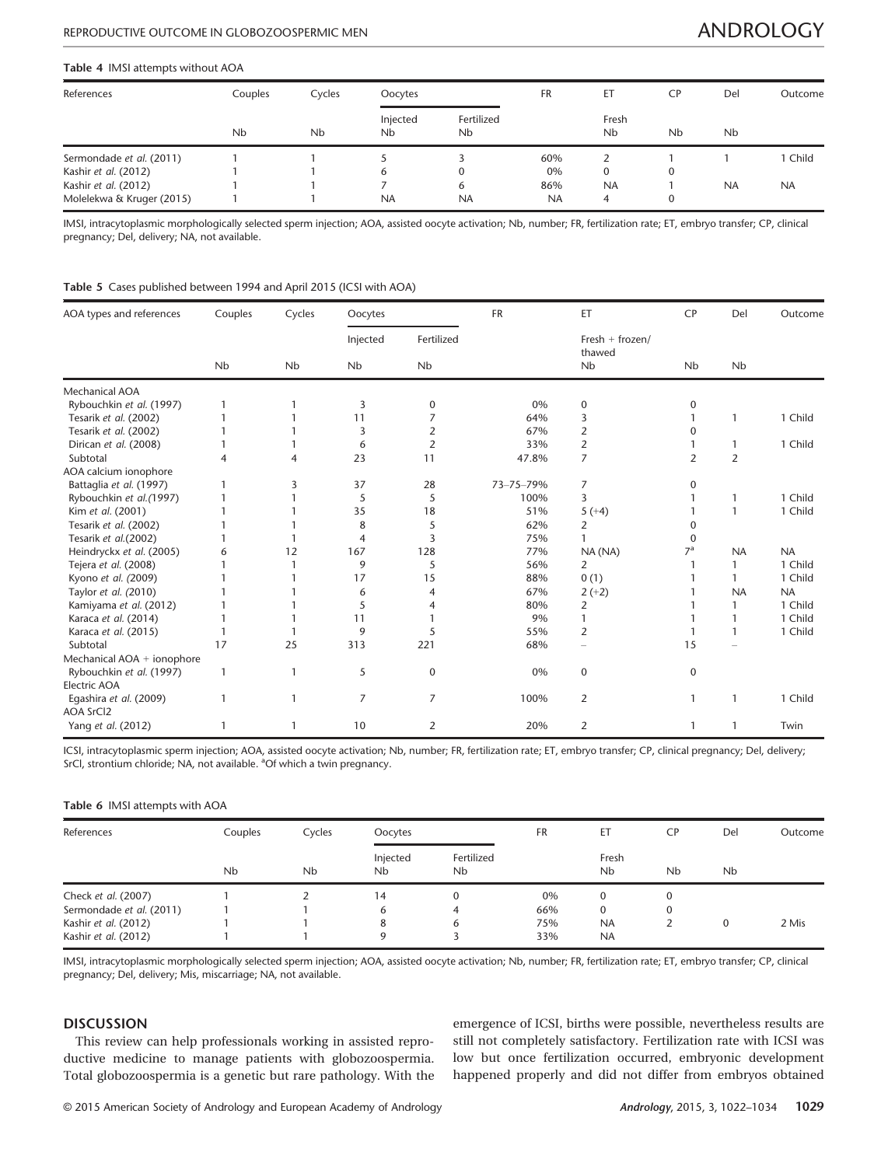### Table 4 IMSI attempts without AOA

| References                | Couples              | Cycles               | Oocytes                          |                                    | <b>FR</b> | ET                            | СP           | Del                  | Outcome   |
|---------------------------|----------------------|----------------------|----------------------------------|------------------------------------|-----------|-------------------------------|--------------|----------------------|-----------|
|                           | <b>N<sub>b</sub></b> | <b>N<sub>b</sub></b> | Injected<br><b>N<sub>b</sub></b> | Fertilized<br><b>N<sub>b</sub></b> |           | Fresh<br><b>N<sub>b</sub></b> | Nb           | <b>N<sub>b</sub></b> |           |
| Sermondade et al. (2011)  |                      |                      |                                  |                                    | 60%       |                               |              |                      | 1 Child   |
| Kashir et al. (2012)      |                      |                      | b                                | 0                                  | 0%        | 0                             | $\mathbf{0}$ |                      |           |
| Kashir et al. (2012)      |                      |                      |                                  | 6                                  | 86%       | <b>NA</b>                     |              | <b>NA</b>            | <b>NA</b> |
| Molelekwa & Kruger (2015) |                      |                      | <b>NA</b>                        | <b>NA</b>                          | <b>NA</b> | 4                             | 0            |                      |           |

IMSI, intracytoplasmic morphologically selected sperm injection; AOA, assisted oocyte activation; Nb, number; FR, fertilization rate; ET, embryo transfer; CP, clinical pregnancy; Del, delivery; NA, not available.

### Table 5 Cases published between 1994 and April 2015 (ICSI with AOA)

| AOA types and references   | Couples      | Cycles    | Oocytes   |                | <b>FR</b> | ET                          | <b>CP</b>            | Del            | Outcome   |
|----------------------------|--------------|-----------|-----------|----------------|-----------|-----------------------------|----------------------|----------------|-----------|
|                            |              |           | Injected  | Fertilized     |           | Fresh $+$ frozen/<br>thawed |                      |                |           |
|                            | Nb           | <b>Nb</b> | <b>Nb</b> | <b>Nb</b>      |           | Nb                          | <b>N<sub>b</sub></b> | <b>Nb</b>      |           |
| Mechanical AOA             |              |           |           |                |           |                             |                      |                |           |
| Rybouchkin et al. (1997)   | 1            |           | 3         | 0              | 0%        | 0                           | 0                    |                |           |
| Tesarik et al. (2002)      |              |           | 11        | 7              | 64%       | 3                           |                      | -1             | 1 Child   |
| Tesarik et al. (2002)      |              |           | 3         | $\overline{2}$ | 67%       | $\overline{2}$              | 0                    |                |           |
| Dirican et al. (2008)      |              |           | 6         | $\overline{2}$ | 33%       | 2                           |                      |                | 1 Child   |
| Subtotal                   | 4            | 4         | 23        | 11             | 47.8%     | $\overline{7}$              | $\overline{2}$       | $\overline{2}$ |           |
| AOA calcium ionophore      |              |           |           |                |           |                             |                      |                |           |
| Battaglia et al. (1997)    |              | 3         | 37        | 28             | 73-75-79% | 7                           | $\Omega$             |                |           |
| Rybouchkin et al.(1997)    |              |           | 5         | 5              | 100%      | 3                           |                      | -1             | 1 Child   |
| Kim et al. (2001)          |              |           | 35        | 18             | 51%       | $5 (+4)$                    |                      | $\mathbf{1}$   | 1 Child   |
| Tesarik et al. (2002)      |              |           | 8         | 5              | 62%       | 2                           |                      |                |           |
| Tesarik et al.(2002)       |              |           | 4         | 3              | 75%       |                             | 0                    |                |           |
| Heindryckx et al. (2005)   | 6            | 12        | 167       | 128            | 77%       | NA (NA)                     | 7 <sup>a</sup>       | <b>NA</b>      | <b>NA</b> |
| Tejera et al. (2008)       |              |           | 9         | 5              | 56%       | 2                           |                      |                | 1 Child   |
| Kyono et al. (2009)        |              |           | 17        | 15             | 88%       | 0(1)                        |                      |                | 1 Child   |
| Taylor et al. (2010)       |              |           | 6         | $\overline{4}$ | 67%       | $2 (+2)$                    |                      | <b>NA</b>      | <b>NA</b> |
| Kamiyama et al. (2012)     |              |           | 5         |                | 80%       | 2                           |                      |                | 1 Child   |
| Karaca et al. (2014)       |              |           | 11        |                | 9%        |                             |                      |                | 1 Child   |
| Karaca et al. (2015)       |              |           | 9         | 5              | 55%       | 2                           |                      | 1              | 1 Child   |
| Subtotal                   | 17           | 25        | 313       | 221            | 68%       |                             | 15                   |                |           |
| Mechanical AOA + ionophore |              |           |           |                |           |                             |                      |                |           |
| Rybouchkin et al. (1997)   | $\mathbf{1}$ | 1         | 5         | 0              | 0%        | 0                           | 0                    |                |           |
| Electric AOA               |              |           |           |                |           |                             |                      |                |           |
| Egashira et al. (2009)     |              |           | 7         | 7              | 100%      | 2                           | 1                    | -1             | 1 Child   |
| <b>AOA SrCl2</b>           |              |           |           |                |           |                             |                      |                |           |
| Yang et al. (2012)         |              |           | 10        | 2              | 20%       | 2                           |                      |                | Twin      |

ICSI, intracytoplasmic sperm injection; AOA, assisted oocyte activation; Nb, number; FR, fertilization rate; ET, embryo transfer; CP, clinical pregnancy; Del, delivery; SrCl, strontium chloride; NA, not available. <sup>a</sup>Of which a twin pregnancy.

### Table 6 IMSI attempts with AOA

| References               | Couples | Cycles               | Oocytes        |                                    | <b>FR</b> | ЕT                            | <b>CP</b>            | Del                  | Outcome |
|--------------------------|---------|----------------------|----------------|------------------------------------|-----------|-------------------------------|----------------------|----------------------|---------|
|                          | Nb      | <b>N<sub>b</sub></b> | Injected<br>Nb | Fertilized<br><b>N<sub>b</sub></b> |           | Fresh<br><b>N<sub>b</sub></b> | <b>N<sub>b</sub></b> | <b>N<sub>b</sub></b> |         |
| Check et al. (2007)      |         |                      | 14             | 0                                  | 0%        |                               | 0                    |                      |         |
| Sermondade et al. (2011) |         |                      | 6              | 4                                  | 66%       | 0                             | 0                    |                      |         |
| Kashir et al. (2012)     |         |                      | 8              | ь                                  | 75%       | <b>NA</b>                     |                      | 0                    | 2 Mis   |
| Kashir et al. (2012)     |         |                      |                |                                    | 33%       | <b>NA</b>                     |                      |                      |         |

IMSI, intracytoplasmic morphologically selected sperm injection; AOA, assisted oocyte activation; Nb, number; FR, fertilization rate; ET, embryo transfer; CP, clinical pregnancy; Del, delivery; Mis, miscarriage; NA, not available.

### **DISCUSSION**

This review can help professionals working in assisted reproductive medicine to manage patients with globozoospermia. Total globozoospermia is a genetic but rare pathology. With the

emergence of ICSI, births were possible, nevertheless results are still not completely satisfactory. Fertilization rate with ICSI was low but once fertilization occurred, embryonic development happened properly and did not differ from embryos obtained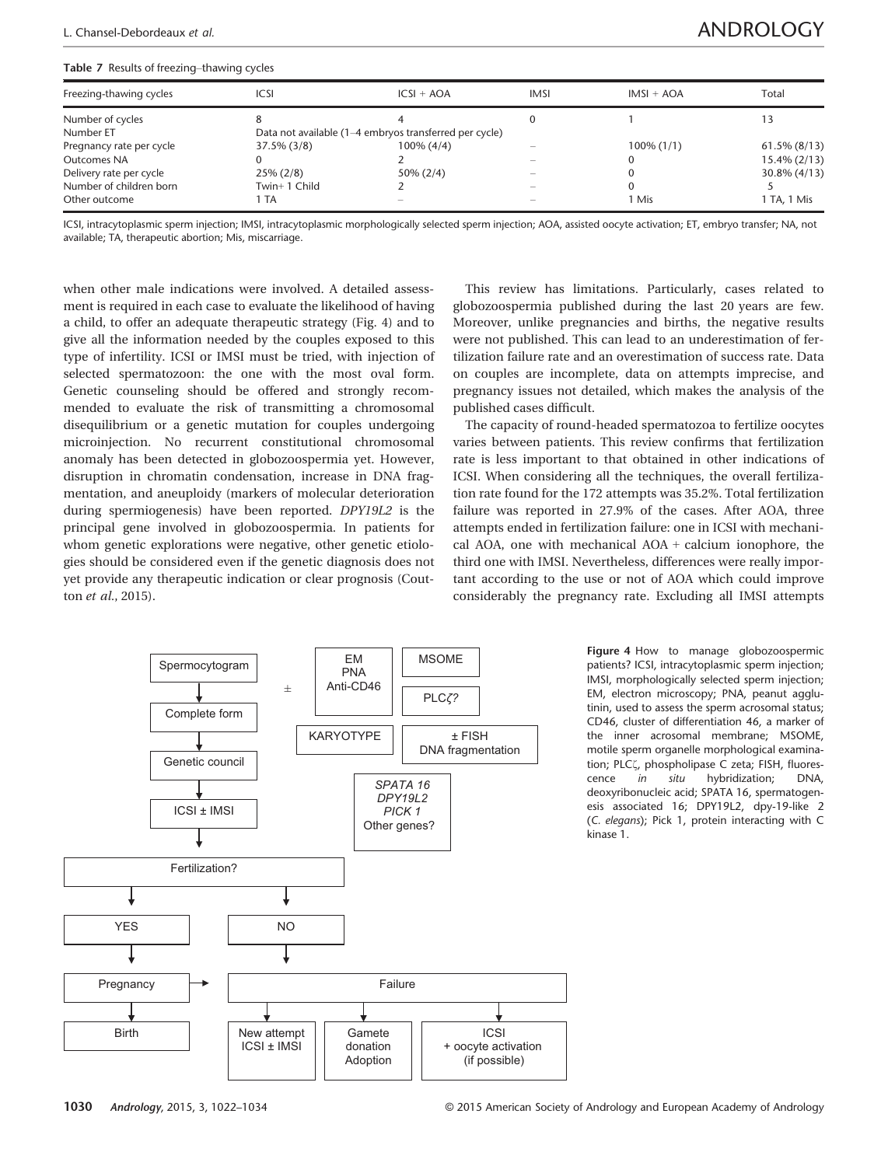## L. Chansel-Debordeaux et al. ANDROLOGY

### Table 7 Results of freezing–thawing cycles

| Freezing-thawing cycles  | ICSI           | $ICSI + AOA$                                           | <b>IMSI</b> | $IMSI + AOA$  | Total           |  |  |  |  |  |  |  |
|--------------------------|----------------|--------------------------------------------------------|-------------|---------------|-----------------|--|--|--|--|--|--|--|
| Number of cycles         |                |                                                        |             |               |                 |  |  |  |  |  |  |  |
| Number ET                |                | Data not available (1-4 embryos transferred per cycle) |             |               |                 |  |  |  |  |  |  |  |
| Pregnancy rate per cycle | $37.5\%$ (3/8) | $100\% (4/4)$                                          |             | $100\% (1/1)$ | $61.5\%$ (8/13) |  |  |  |  |  |  |  |
| Outcomes NA              |                |                                                        |             |               | $15.4\% (2/13)$ |  |  |  |  |  |  |  |
| Delivery rate per cycle  | $25\% (2/8)$   | $50\% (2/4)$                                           |             |               | $30.8\% (4/13)$ |  |  |  |  |  |  |  |
| Number of children born  | Twin+1 Child   |                                                        |             |               |                 |  |  |  |  |  |  |  |
| Other outcome            | 1 TA           | -                                                      |             | 1 Mis         | 1 TA, 1 Mis     |  |  |  |  |  |  |  |

ICSI, intracytoplasmic sperm injection; IMSI, intracytoplasmic morphologically selected sperm injection; AOA, assisted oocyte activation; ET, embryo transfer; NA, not available; TA, therapeutic abortion; Mis, miscarriage.

when other male indications were involved. A detailed assessment is required in each case to evaluate the likelihood of having a child, to offer an adequate therapeutic strategy (Fig. 4) and to give all the information needed by the couples exposed to this type of infertility. ICSI or IMSI must be tried, with injection of selected spermatozoon: the one with the most oval form. Genetic counseling should be offered and strongly recommended to evaluate the risk of transmitting a chromosomal disequilibrium or a genetic mutation for couples undergoing microinjection. No recurrent constitutional chromosomal anomaly has been detected in globozoospermia yet. However, disruption in chromatin condensation, increase in DNA fragmentation, and aneuploidy (markers of molecular deterioration during spermiogenesis) have been reported. DPY19L2 is the principal gene involved in globozoospermia. In patients for whom genetic explorations were negative, other genetic etiologies should be considered even if the genetic diagnosis does not yet provide any therapeutic indication or clear prognosis (Coutton et al., 2015).

This review has limitations. Particularly, cases related to globozoospermia published during the last 20 years are few. Moreover, unlike pregnancies and births, the negative results were not published. This can lead to an underestimation of fertilization failure rate and an overestimation of success rate. Data on couples are incomplete, data on attempts imprecise, and pregnancy issues not detailed, which makes the analysis of the published cases difficult.

The capacity of round-headed spermatozoa to fertilize oocytes varies between patients. This review confirms that fertilization rate is less important to that obtained in other indications of ICSI. When considering all the techniques, the overall fertilization rate found for the 172 attempts was 35.2%. Total fertilization failure was reported in 27.9% of the cases. After AOA, three attempts ended in fertilization failure: one in ICSI with mechanical AOA, one with mechanical AOA + calcium ionophore, the third one with IMSI. Nevertheless, differences were really important according to the use or not of AOA which could improve considerably the pregnancy rate. Excluding all IMSI attempts



Figure 4 How to manage globozoospermic patients? ICSI, intracytoplasmic sperm injection; IMSI, morphologically selected sperm injection; EM, electron microscopy; PNA, peanut agglutinin, used to assess the sperm acrosomal status; CD46, cluster of differentiation 46, a marker of the inner acrosomal membrane; MSOME, motile sperm organelle morphological examination; PLCζ, phospholipase C zeta; FISH, fluorescence in situ hybridization; DNA, deoxyribonucleic acid; SPATA 16, spermatogenesis associated 16; DPY19L2, dpy-19-like 2 (C. elegans); Pick 1, protein interacting with C kinase 1.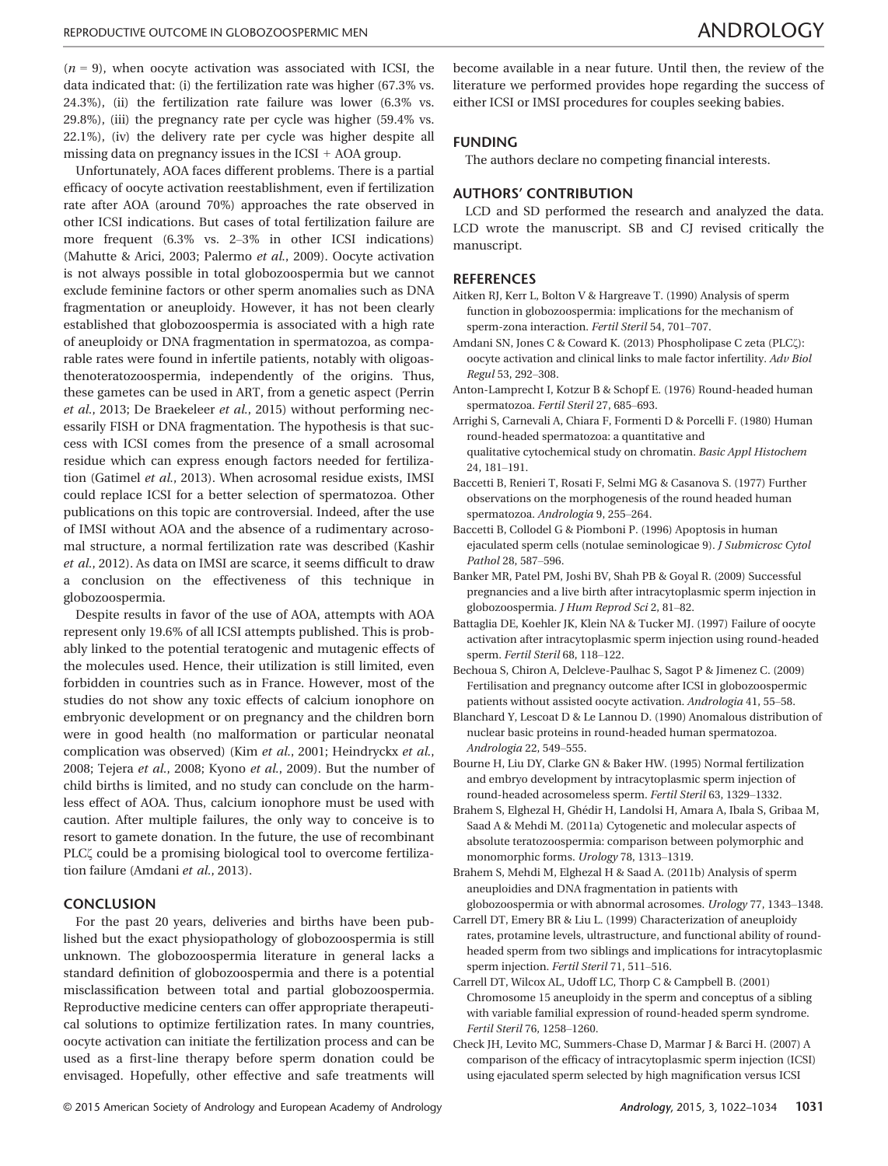$(n = 9)$ , when oocyte activation was associated with ICSI, the data indicated that: (i) the fertilization rate was higher (67.3% vs. 24.3%), (ii) the fertilization rate failure was lower (6.3% vs. 29.8%), (iii) the pregnancy rate per cycle was higher (59.4% vs. 22.1%), (iv) the delivery rate per cycle was higher despite all missing data on pregnancy issues in the ICSI + AOA group.

Unfortunately, AOA faces different problems. There is a partial efficacy of oocyte activation reestablishment, even if fertilization rate after AOA (around 70%) approaches the rate observed in other ICSI indications. But cases of total fertilization failure are more frequent (6.3% vs. 2–3% in other ICSI indications) (Mahutte & Arici, 2003; Palermo et al., 2009). Oocyte activation is not always possible in total globozoospermia but we cannot exclude feminine factors or other sperm anomalies such as DNA fragmentation or aneuploidy. However, it has not been clearly established that globozoospermia is associated with a high rate of aneuploidy or DNA fragmentation in spermatozoa, as comparable rates were found in infertile patients, notably with oligoasthenoteratozoospermia, independently of the origins. Thus, these gametes can be used in ART, from a genetic aspect (Perrin et al., 2013; De Braekeleer et al., 2015) without performing necessarily FISH or DNA fragmentation. The hypothesis is that success with ICSI comes from the presence of a small acrosomal residue which can express enough factors needed for fertilization (Gatimel et al., 2013). When acrosomal residue exists, IMSI could replace ICSI for a better selection of spermatozoa. Other publications on this topic are controversial. Indeed, after the use of IMSI without AOA and the absence of a rudimentary acrosomal structure, a normal fertilization rate was described (Kashir et al., 2012). As data on IMSI are scarce, it seems difficult to draw a conclusion on the effectiveness of this technique in globozoospermia.

Despite results in favor of the use of AOA, attempts with AOA represent only 19.6% of all ICSI attempts published. This is probably linked to the potential teratogenic and mutagenic effects of the molecules used. Hence, their utilization is still limited, even forbidden in countries such as in France. However, most of the studies do not show any toxic effects of calcium ionophore on embryonic development or on pregnancy and the children born were in good health (no malformation or particular neonatal complication was observed) (Kim et al., 2001; Heindryckx et al., 2008; Tejera et al., 2008; Kyono et al., 2009). But the number of child births is limited, and no study can conclude on the harmless effect of AOA. Thus, calcium ionophore must be used with caution. After multiple failures, the only way to conceive is to resort to gamete donation. In the future, the use of recombinant PLC $\zeta$  could be a promising biological tool to overcome fertilization failure (Amdani et al., 2013).

### **CONCLUSION**

For the past 20 years, deliveries and births have been published but the exact physiopathology of globozoospermia is still unknown. The globozoospermia literature in general lacks a standard definition of globozoospermia and there is a potential misclassification between total and partial globozoospermia. Reproductive medicine centers can offer appropriate therapeutical solutions to optimize fertilization rates. In many countries, oocyte activation can initiate the fertilization process and can be used as a first-line therapy before sperm donation could be envisaged. Hopefully, other effective and safe treatments will

### FUNDING

The authors declare no competing financial interests.

### AUTHORS' CONTRIBUTION

LCD and SD performed the research and analyzed the data. LCD wrote the manuscript. SB and CJ revised critically the manuscript.

### **REFERENCES**

- Aitken RJ, Kerr L, Bolton V & Hargreave T. (1990) Analysis of sperm function in globozoospermia: implications for the mechanism of sperm-zona interaction. Fertil Steril 54, 701–707.
- Amdani SN, Jones C & Coward K. (2013) Phospholipase C zeta (PLC $\zeta$ ): oocyte activation and clinical links to male factor infertility. Adv Biol Regul 53, 292–308.
- Anton-Lamprecht I, Kotzur B & Schopf E. (1976) Round-headed human spermatozoa. Fertil Steril 27, 685–693.
- Arrighi S, Carnevali A, Chiara F, Formenti D & Porcelli F. (1980) Human round-headed spermatozoa: a quantitative and
- qualitative cytochemical study on chromatin. Basic Appl Histochem 24, 181–191.
- Baccetti B, Renieri T, Rosati F, Selmi MG & Casanova S. (1977) Further observations on the morphogenesis of the round headed human spermatozoa. Andrologia 9, 255–264.
- Baccetti B, Collodel G & Piomboni P. (1996) Apoptosis in human ejaculated sperm cells (notulae seminologicae 9). J Submicrosc Cytol Pathol 28, 587–596.
- Banker MR, Patel PM, Joshi BV, Shah PB & Goyal R. (2009) Successful pregnancies and a live birth after intracytoplasmic sperm injection in globozoospermia. J Hum Reprod Sci 2, 81–82.
- Battaglia DE, Koehler JK, Klein NA & Tucker MJ. (1997) Failure of oocyte activation after intracytoplasmic sperm injection using round-headed sperm. Fertil Steril 68, 118–122.
- Bechoua S, Chiron A, Delcleve-Paulhac S, Sagot P & Jimenez C. (2009) Fertilisation and pregnancy outcome after ICSI in globozoospermic patients without assisted oocyte activation. Andrologia 41, 55–58.
- Blanchard Y, Lescoat D & Le Lannou D. (1990) Anomalous distribution of nuclear basic proteins in round-headed human spermatozoa. Andrologia 22, 549–555.
- Bourne H, Liu DY, Clarke GN & Baker HW. (1995) Normal fertilization and embryo development by intracytoplasmic sperm injection of round-headed acrosomeless sperm. Fertil Steril 63, 1329–1332.
- Brahem S, Elghezal H, Ghedir H, Landolsi H, Amara A, Ibala S, Gribaa M, Saad A & Mehdi M. (2011a) Cytogenetic and molecular aspects of absolute teratozoospermia: comparison between polymorphic and monomorphic forms. Urology 78, 1313–1319.
- Brahem S, Mehdi M, Elghezal H & Saad A. (2011b) Analysis of sperm aneuploidies and DNA fragmentation in patients with globozoospermia or with abnormal acrosomes. Urology 77, 1343–1348.
- Carrell DT, Emery BR & Liu L. (1999) Characterization of aneuploidy rates, protamine levels, ultrastructure, and functional ability of roundheaded sperm from two siblings and implications for intracytoplasmic sperm injection. Fertil Steril 71, 511–516.
- Carrell DT, Wilcox AL, Udoff LC, Thorp C & Campbell B. (2001) Chromosome 15 aneuploidy in the sperm and conceptus of a sibling with variable familial expression of round-headed sperm syndrome. Fertil Steril 76, 1258–1260.
- Check JH, Levito MC, Summers-Chase D, Marmar J & Barci H. (2007) A comparison of the efficacy of intracytoplasmic sperm injection (ICSI) using ejaculated sperm selected by high magnification versus ICSI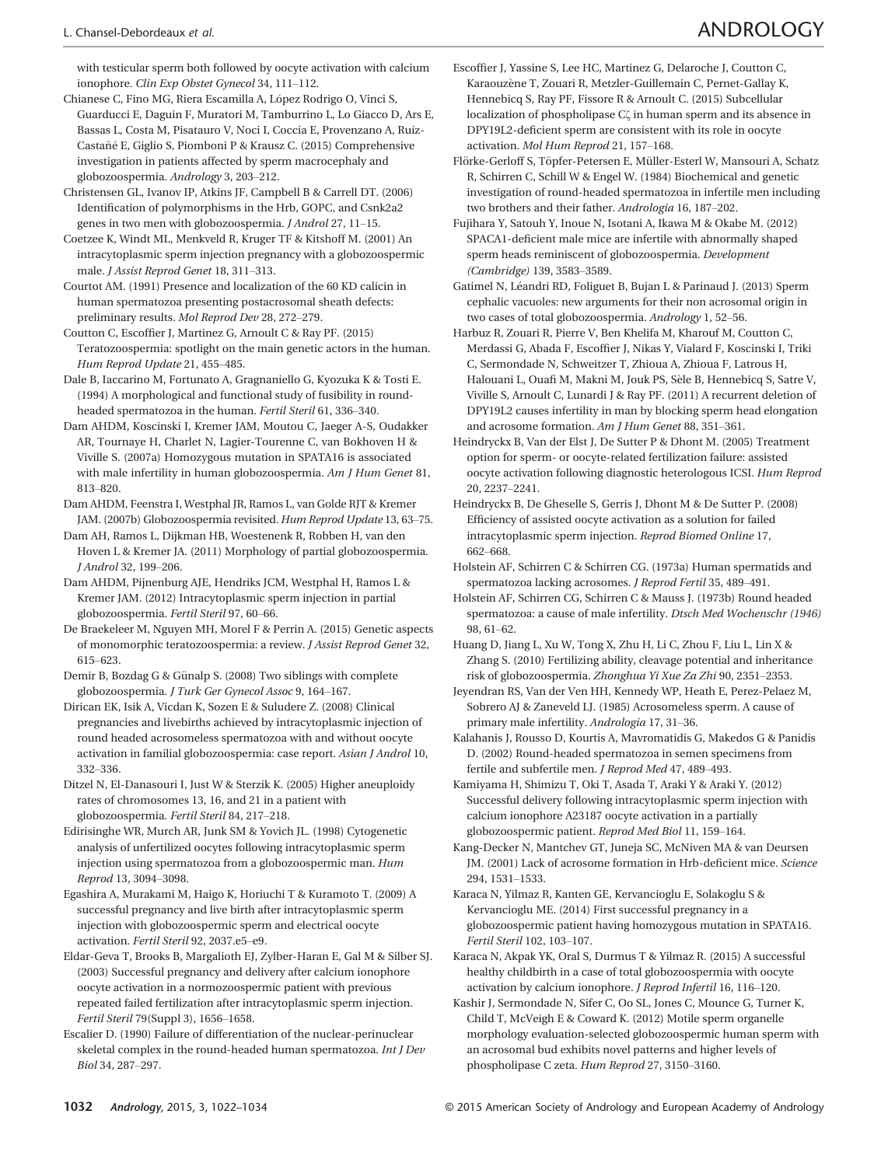with testicular sperm both followed by oocyte activation with calcium ionophore. Clin Exp Obstet Gynecol 34, 111–112.

Chianese C, Fino MG, Riera Escamilla A, López Rodrigo O, Vinci S, Guarducci E, Daguin F, Muratori M, Tamburrino L, Lo Giacco D, Ars E, Bassas L, Costa M, Pisatauro V, Noci I, Coccia E, Provenzano A, Ruiz-Castañé E, Giglio S, Piomboni P & Krausz C. (2015) Comprehensive investigation in patients affected by sperm macrocephaly and globozoospermia. Andrology 3, 203–212.

Christensen GL, Ivanov IP, Atkins JF, Campbell B & Carrell DT. (2006) Identification of polymorphisms in the Hrb, GOPC, and Csnk2a2 genes in two men with globozoospermia. J Androl 27, 11–15.

Coetzee K, Windt ML, Menkveld R, Kruger TF & Kitshoff M. (2001) An intracytoplasmic sperm injection pregnancy with a globozoospermic male. J Assist Reprod Genet 18, 311–313.

Courtot AM. (1991) Presence and localization of the 60 KD calicin in human spermatozoa presenting postacrosomal sheath defects: preliminary results. Mol Reprod Dev 28, 272–279.

Coutton C, Escoffier J, Martinez G, Arnoult C & Ray PF. (2015) Teratozoospermia: spotlight on the main genetic actors in the human. Hum Reprod Update 21, 455–485.

Dale B, Iaccarino M, Fortunato A, Gragnaniello G, Kyozuka K & Tosti E. (1994) A morphological and functional study of fusibility in roundheaded spermatozoa in the human. Fertil Steril 61, 336–340.

Dam AHDM, Koscinski I, Kremer JAM, Moutou C, Jaeger A-S, Oudakker AR, Tournaye H, Charlet N, Lagier-Tourenne C, van Bokhoven H & Viville S. (2007a) Homozygous mutation in SPATA16 is associated with male infertility in human globozoospermia. Am J Hum Genet 81, 813–820.

Dam AHDM, Feenstra I, Westphal JR, Ramos L, van Golde RJT & Kremer JAM. (2007b) Globozoospermia revisited. Hum Reprod Update 13, 63–75.

Dam AH, Ramos L, Dijkman HB, Woestenenk R, Robben H, van den Hoven L & Kremer JA. (2011) Morphology of partial globozoospermia. J Androl 32, 199–206.

Dam AHDM, Pijnenburg AJE, Hendriks JCM, Westphal H, Ramos L & Kremer JAM. (2012) Intracytoplasmic sperm injection in partial globozoospermia. Fertil Steril 97, 60–66.

De Braekeleer M, Nguyen MH, Morel F & Perrin A. (2015) Genetic aspects of monomorphic teratozoospermia: a review. J Assist Reprod Genet 32, 615–623.

Demir B, Bozdag G & Günalp S. (2008) Two siblings with complete globozoospermia. J Turk Ger Gynecol Assoc 9, 164–167.

Dirican EK, Isik A, Vicdan K, Sozen E & Suludere Z. (2008) Clinical pregnancies and livebirths achieved by intracytoplasmic injection of round headed acrosomeless spermatozoa with and without oocyte activation in familial globozoospermia: case report. Asian J Androl 10, 332–336.

Ditzel N, El-Danasouri I, Just W & Sterzik K. (2005) Higher aneuploidy rates of chromosomes 13, 16, and 21 in a patient with globozoospermia. Fertil Steril 84, 217–218.

Edirisinghe WR, Murch AR, Junk SM & Yovich JL. (1998) Cytogenetic analysis of unfertilized oocytes following intracytoplasmic sperm injection using spermatozoa from a globozoospermic man. Hum Reprod 13, 3094–3098.

Egashira A, Murakami M, Haigo K, Horiuchi T & Kuramoto T. (2009) A successful pregnancy and live birth after intracytoplasmic sperm injection with globozoospermic sperm and electrical oocyte activation. Fertil Steril 92, 2037.e5–e9.

Eldar-Geva T, Brooks B, Margalioth EJ, Zylber-Haran E, Gal M & Silber SJ. (2003) Successful pregnancy and delivery after calcium ionophore oocyte activation in a normozoospermic patient with previous repeated failed fertilization after intracytoplasmic sperm injection. Fertil Steril 79(Suppl 3), 1656–1658.

Escalier D. (1990) Failure of differentiation of the nuclear-perinuclear skeletal complex in the round-headed human spermatozoa. Int J Dev Biol 34, 287–297.

Escoffier J, Yassine S, Lee HC, Martinez G, Delaroche J, Coutton C, Karaouzène T, Zouari R, Metzler-Guillemain C, Pernet-Gallay K, Hennebicq S, Ray PF, Fissore R & Arnoult C. (2015) Subcellular localization of phospholipase  $C\zeta$  in human sperm and its absence in DPY19L2-deficient sperm are consistent with its role in oocyte activation. Mol Hum Reprod 21, 157–168.

Flörke-Gerloff S, Töpfer-Petersen E, Müller-Esterl W, Mansouri A, Schatz R, Schirren C, Schill W & Engel W. (1984) Biochemical and genetic investigation of round-headed spermatozoa in infertile men including two brothers and their father. Andrologia 16, 187–202.

Fujihara Y, Satouh Y, Inoue N, Isotani A, Ikawa M & Okabe M. (2012) SPACA1-deficient male mice are infertile with abnormally shaped sperm heads reminiscent of globozoospermia. Development (Cambridge) 139, 3583–3589.

Gatimel N, Leandri RD, Foliguet B, Bujan L & Parinaud J. (2013) Sperm cephalic vacuoles: new arguments for their non acrosomal origin in two cases of total globozoospermia. Andrology 1, 52–56.

Harbuz R, Zouari R, Pierre V, Ben Khelifa M, Kharouf M, Coutton C, Merdassi G, Abada F, Escoffier J, Nikas Y, Vialard F, Koscinski I, Triki C, Sermondade N, Schweitzer T, Zhioua A, Zhioua F, Latrous H, Halouani L, Ouafi M, Makni M, Jouk PS, S ele B, Hennebicq S, Satre V, Viville S, Arnoult C, Lunardi J & Ray PF. (2011) A recurrent deletion of DPY19L2 causes infertility in man by blocking sperm head elongation and acrosome formation. Am J Hum Genet 88, 351–361.

Heindryckx B, Van der Elst J, De Sutter P & Dhont M. (2005) Treatment option for sperm- or oocyte-related fertilization failure: assisted oocyte activation following diagnostic heterologous ICSI. Hum Reprod 20, 2237–2241.

Heindryckx B, De Gheselle S, Gerris J, Dhont M & De Sutter P. (2008) Efficiency of assisted oocyte activation as a solution for failed intracytoplasmic sperm injection. Reprod Biomed Online 17, 662–668.

Holstein AF, Schirren C & Schirren CG. (1973a) Human spermatids and spermatozoa lacking acrosomes. J Reprod Fertil 35, 489–491.

Holstein AF, Schirren CG, Schirren C & Mauss J. (1973b) Round headed spermatozoa: a cause of male infertility. Dtsch Med Wochenschr (1946) 98, 61–62.

Huang D, Jiang L, Xu W, Tong X, Zhu H, Li C, Zhou F, Liu L, Lin X & Zhang S. (2010) Fertilizing ability, cleavage potential and inheritance risk of globozoospermia. Zhonghua Yi Xue Za Zhi 90, 2351–2353.

Jeyendran RS, Van der Ven HH, Kennedy WP, Heath E, Perez-Pelaez M, Sobrero AJ & Zaneveld LJ. (1985) Acrosomeless sperm. A cause of primary male infertility. Andrologia 17, 31–36.

Kalahanis J, Rousso D, Kourtis A, Mavromatidis G, Makedos G & Panidis D. (2002) Round-headed spermatozoa in semen specimens from fertile and subfertile men. J Reprod Med 47, 489–493.

Kamiyama H, Shimizu T, Oki T, Asada T, Araki Y & Araki Y. (2012) Successful delivery following intracytoplasmic sperm injection with calcium ionophore A23187 oocyte activation in a partially globozoospermic patient. Reprod Med Biol 11, 159–164.

Kang-Decker N, Mantchev GT, Juneja SC, McNiven MA & van Deursen JM. (2001) Lack of acrosome formation in Hrb-deficient mice. Science 294, 1531–1533.

Karaca N, Yilmaz R, Kanten GE, Kervancioglu E, Solakoglu S & Kervancioglu ME. (2014) First successful pregnancy in a globozoospermic patient having homozygous mutation in SPATA16. Fertil Steril 102, 103–107.

Karaca N, Akpak YK, Oral S, Durmus T & Yilmaz R. (2015) A successful healthy childbirth in a case of total globozoospermia with oocyte activation by calcium ionophore. J Reprod Infertil 16, 116–120.

Kashir J, Sermondade N, Sifer C, Oo SL, Jones C, Mounce G, Turner K, Child T, McVeigh E & Coward K. (2012) Motile sperm organelle morphology evaluation-selected globozoospermic human sperm with an acrosomal bud exhibits novel patterns and higher levels of phospholipase C zeta. Hum Reprod 27, 3150–3160.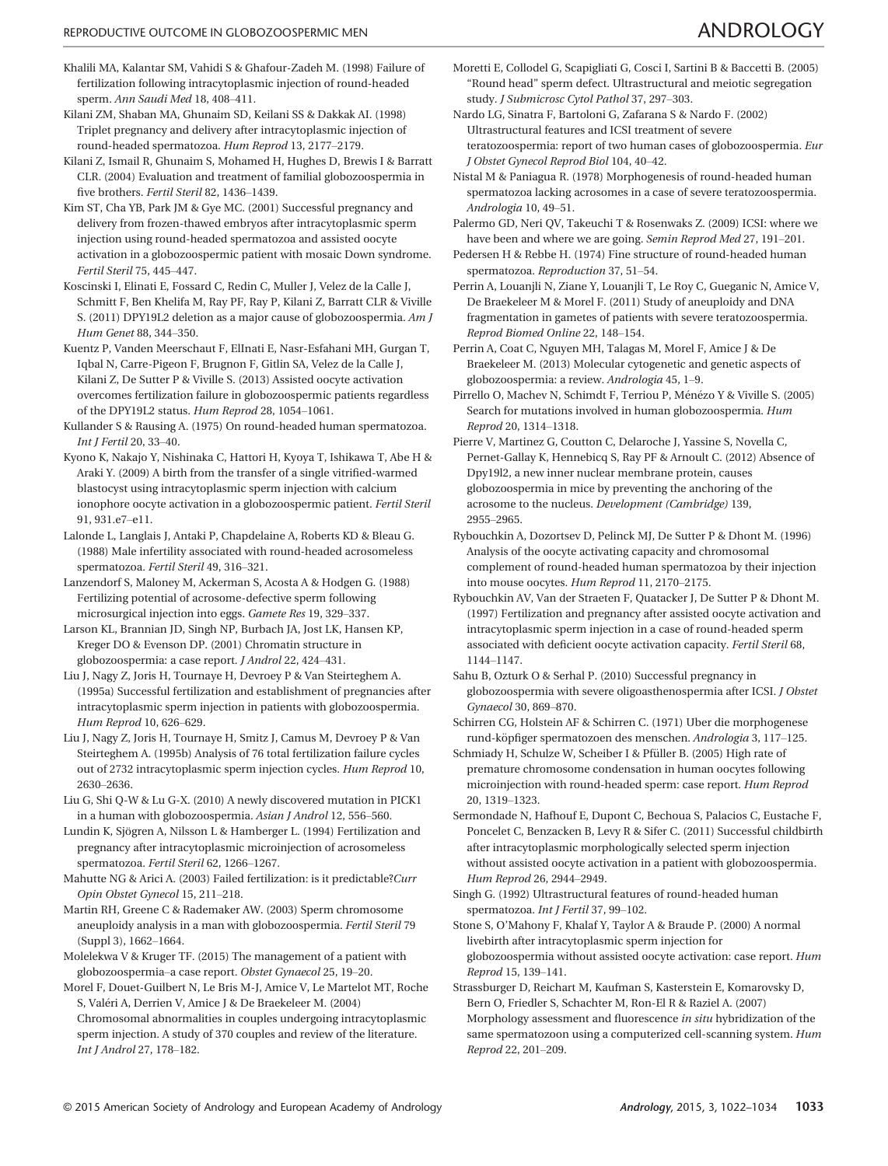- Khalili MA, Kalantar SM, Vahidi S & Ghafour-Zadeh M. (1998) Failure of fertilization following intracytoplasmic injection of round-headed sperm. Ann Saudi Med 18, 408–411.
- Kilani ZM, Shaban MA, Ghunaim SD, Keilani SS & Dakkak AI. (1998) Triplet pregnancy and delivery after intracytoplasmic injection of round-headed spermatozoa. Hum Reprod 13, 2177–2179.
- Kilani Z, Ismail R, Ghunaim S, Mohamed H, Hughes D, Brewis I & Barratt CLR. (2004) Evaluation and treatment of familial globozoospermia in five brothers. Fertil Steril 82, 1436–1439.
- Kim ST, Cha YB, Park JM & Gye MC. (2001) Successful pregnancy and delivery from frozen-thawed embryos after intracytoplasmic sperm injection using round-headed spermatozoa and assisted oocyte activation in a globozoospermic patient with mosaic Down syndrome. Fertil Steril 75, 445–447.
- Koscinski I, Elinati E, Fossard C, Redin C, Muller J, Velez de la Calle J, Schmitt F, Ben Khelifa M, Ray PF, Ray P, Kilani Z, Barratt CLR & Viville S. (2011) DPY19L2 deletion as a major cause of globozoospermia. Am J Hum Genet 88, 344–350.
- Kuentz P, Vanden Meerschaut F, ElInati E, Nasr-Esfahani MH, Gurgan T, Iqbal N, Carre-Pigeon F, Brugnon F, Gitlin SA, Velez de la Calle J, Kilani Z, De Sutter P & Viville S. (2013) Assisted oocyte activation overcomes fertilization failure in globozoospermic patients regardless of the DPY19L2 status. Hum Reprod 28, 1054–1061.
- Kullander S & Rausing A. (1975) On round-headed human spermatozoa. Int J Fertil 20, 33–40.
- Kyono K, Nakajo Y, Nishinaka C, Hattori H, Kyoya T, Ishikawa T, Abe H & Araki Y. (2009) A birth from the transfer of a single vitrified-warmed blastocyst using intracytoplasmic sperm injection with calcium ionophore oocyte activation in a globozoospermic patient. Fertil Steril 91, 931.e7–e11.
- Lalonde L, Langlais J, Antaki P, Chapdelaine A, Roberts KD & Bleau G. (1988) Male infertility associated with round-headed acrosomeless spermatozoa. Fertil Steril 49, 316–321.
- Lanzendorf S, Maloney M, Ackerman S, Acosta A & Hodgen G. (1988) Fertilizing potential of acrosome-defective sperm following microsurgical injection into eggs. Gamete Res 19, 329–337.
- Larson KL, Brannian JD, Singh NP, Burbach JA, Jost LK, Hansen KP, Kreger DO & Evenson DP. (2001) Chromatin structure in globozoospermia: a case report. J Androl 22, 424–431.
- Liu J, Nagy Z, Joris H, Tournaye H, Devroey P & Van Steirteghem A. (1995a) Successful fertilization and establishment of pregnancies after intracytoplasmic sperm injection in patients with globozoospermia. Hum Reprod 10, 626–629.
- Liu J, Nagy Z, Joris H, Tournaye H, Smitz J, Camus M, Devroey P & Van Steirteghem A. (1995b) Analysis of 76 total fertilization failure cycles out of 2732 intracytoplasmic sperm injection cycles. Hum Reprod 10, 2630–2636.
- Liu G, Shi Q-W & Lu G-X. (2010) A newly discovered mutation in PICK1 in a human with globozoospermia. Asian J Androl 12, 556–560.
- Lundin K, Sjögren A, Nilsson L & Hamberger L. (1994) Fertilization and pregnancy after intracytoplasmic microinjection of acrosomeless spermatozoa. Fertil Steril 62, 1266–1267.
- Mahutte NG & Arici A. (2003) Failed fertilization: is it predictable?Curr Opin Obstet Gynecol 15, 211–218.
- Martin RH, Greene C & Rademaker AW. (2003) Sperm chromosome aneuploidy analysis in a man with globozoospermia. Fertil Steril 79 (Suppl 3), 1662–1664.
- Molelekwa V & Kruger TF. (2015) The management of a patient with globozoospermia–a case report. Obstet Gynaecol 25, 19–20.
- Morel F, Douet-Guilbert N, Le Bris M-J, Amice V, Le Martelot MT, Roche S, Valeri A, Derrien V, Amice J & De Braekeleer M. (2004) Chromosomal abnormalities in couples undergoing intracytoplasmic sperm injection. A study of 370 couples and review of the literature. Int J Androl 27, 178–182.
- Moretti E, Collodel G, Scapigliati G, Cosci I, Sartini B & Baccetti B. (2005) "Round head" sperm defect. Ultrastructural and meiotic segregation study. J Submicrosc Cytol Pathol 37, 297–303.
- Nardo LG, Sinatra F, Bartoloni G, Zafarana S & Nardo F. (2002) Ultrastructural features and ICSI treatment of severe teratozoospermia: report of two human cases of globozoospermia. Eur J Obstet Gynecol Reprod Biol 104, 40–42.
- Nistal M & Paniagua R. (1978) Morphogenesis of round-headed human spermatozoa lacking acrosomes in a case of severe teratozoospermia. Andrologia 10, 49–51.

Palermo GD, Neri QV, Takeuchi T & Rosenwaks Z. (2009) ICSI: where we have been and where we are going. Semin Reprod Med 27, 191–201.

- Pedersen H & Rebbe H. (1974) Fine structure of round-headed human spermatozoa. Reproduction 37, 51–54.
- Perrin A, Louanjli N, Ziane Y, Louanjli T, Le Roy C, Gueganic N, Amice V, De Braekeleer M & Morel F. (2011) Study of aneuploidy and DNA fragmentation in gametes of patients with severe teratozoospermia. Reprod Biomed Online 22, 148–154.
- Perrin A, Coat C, Nguyen MH, Talagas M, Morel F, Amice J & De Braekeleer M. (2013) Molecular cytogenetic and genetic aspects of globozoospermia: a review. Andrologia 45, 1–9.
- Pirrello O, Machev N, Schimdt F, Terriou P, M enezo Y & Viville S. (2005) Search for mutations involved in human globozoospermia. Hum Reprod 20, 1314–1318.
- Pierre V, Martinez G, Coutton C, Delaroche J, Yassine S, Novella C, Pernet-Gallay K, Hennebicq S, Ray PF & Arnoult C. (2012) Absence of Dpy19l2, a new inner nuclear membrane protein, causes globozoospermia in mice by preventing the anchoring of the acrosome to the nucleus. Development (Cambridge) 139, 2955–2965.
- Rybouchkin A, Dozortsev D, Pelinck MJ, De Sutter P & Dhont M. (1996) Analysis of the oocyte activating capacity and chromosomal complement of round-headed human spermatozoa by their injection into mouse oocytes. Hum Reprod 11, 2170–2175.
- Rybouchkin AV, Van der Straeten F, Quatacker J, De Sutter P & Dhont M. (1997) Fertilization and pregnancy after assisted oocyte activation and intracytoplasmic sperm injection in a case of round-headed sperm associated with deficient oocyte activation capacity. Fertil Steril 68, 1144–1147.
- Sahu B, Ozturk O & Serhal P. (2010) Successful pregnancy in globozoospermia with severe oligoasthenospermia after ICSI. J Obstet Gynaecol 30, 869–870.
- Schirren CG, Holstein AF & Schirren C. (1971) Uber die morphogenese rund-köpfiger spermatozoen des menschen. Andrologia 3, 117-125.
- Schmiady H, Schulze W, Scheiber I & Pfüller B. (2005) High rate of premature chromosome condensation in human oocytes following microinjection with round-headed sperm: case report. Hum Reprod 20, 1319–1323.
- Sermondade N, Hafhouf E, Dupont C, Bechoua S, Palacios C, Eustache F, Poncelet C, Benzacken B, Levy R & Sifer C. (2011) Successful childbirth after intracytoplasmic morphologically selected sperm injection without assisted oocyte activation in a patient with globozoospermia. Hum Reprod 26, 2944–2949.
- Singh G. (1992) Ultrastructural features of round-headed human spermatozoa. Int J Fertil 37, 99–102.
- Stone S, O'Mahony F, Khalaf Y, Taylor A & Braude P. (2000) A normal livebirth after intracytoplasmic sperm injection for globozoospermia without assisted oocyte activation: case report. Hum Reprod 15, 139–141.
- Strassburger D, Reichart M, Kaufman S, Kasterstein E, Komarovsky D, Bern O, Friedler S, Schachter M, Ron-El R & Raziel A. (2007) Morphology assessment and fluorescence in situ hybridization of the same spermatozoon using a computerized cell-scanning system. Hum Reprod 22, 201–209.